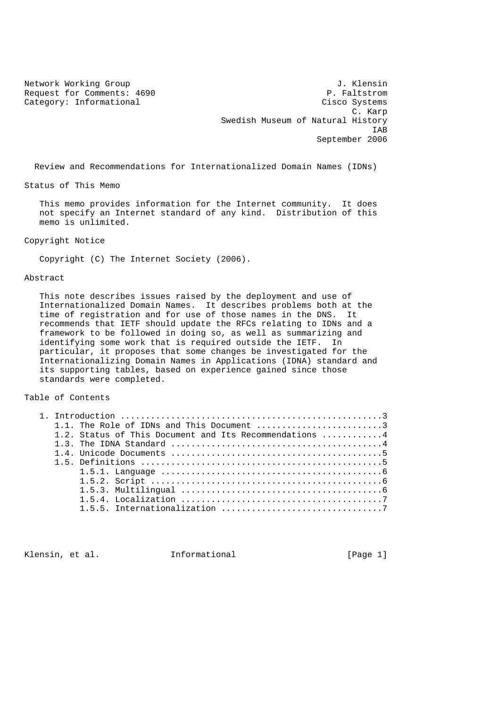Request for Comments: 4690

Network Working Group J. Klensin<br>Request for Comments: 4690 J. Faltstrom Category: Informational Cisco Systems C. Karp Swedish Museum of Natural History IAB September 2006

Review and Recommendations for Internationalized Domain Names (IDNs)

Status of This Memo

 This memo provides information for the Internet community. It does not specify an Internet standard of any kind. Distribution of this memo is unlimited.

Copyright Notice

Copyright (C) The Internet Society (2006).

Abstract

 This note describes issues raised by the deployment and use of Internationalized Domain Names. It describes problems both at the time of registration and for use of those names in the DNS. It recommends that IETF should update the RFCs relating to IDNs and a framework to be followed in doing so, as well as summarizing and identifying some work that is required outside the IETF. In particular, it proposes that some changes be investigated for the Internationalizing Domain Names in Applications (IDNA) standard and its supporting tables, based on experience gained since those standards were completed.

## Table of Contents

|  | 1.1. The Role of IDNs and This Document 3              |
|--|--------------------------------------------------------|
|  | 1.2. Status of This Document and Its Recommendations 4 |
|  |                                                        |
|  |                                                        |
|  |                                                        |
|  |                                                        |
|  |                                                        |
|  |                                                        |
|  |                                                        |
|  |                                                        |
|  |                                                        |

Klensin, et al. Informational [Page 1]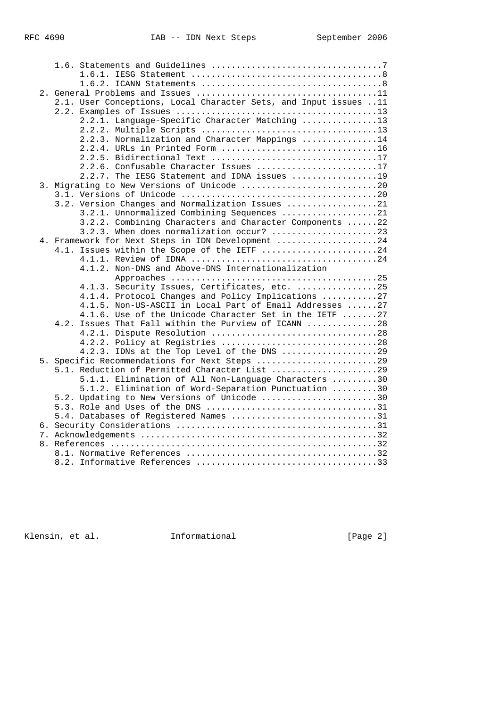|  |      | 2.1. User Conceptions, Local Character Sets, and Input issues 11 |
|--|------|------------------------------------------------------------------|
|  |      |                                                                  |
|  |      | 2.2.1. Language-Specific Character Matching 13                   |
|  |      |                                                                  |
|  |      | 2.2.3. Normalization and Character Mappings 14                   |
|  |      | 2.2.4. URLs in Printed Form 16                                   |
|  |      |                                                                  |
|  |      | 2.2.6. Confusable Character Issues 17                            |
|  |      | 2.2.7. The IESG Statement and IDNA issues 19                     |
|  |      | 3. Migrating to New Versions of Unicode 20                       |
|  |      |                                                                  |
|  |      | 3.2. Version Changes and Normalization Issues 21                 |
|  |      | 3.2.1. Unnormalized Combining Sequences 21                       |
|  |      | 3.2.2. Combining Characters and Character Components 22          |
|  |      | 3.2.3. When does normalization occur? 23                         |
|  |      | 4. Framework for Next Steps in IDN Development 24                |
|  |      | 4.1. Issues within the Scope of the IETF 24                      |
|  |      |                                                                  |
|  |      | 4.1.2. Non-DNS and Above-DNS Internationalization                |
|  |      |                                                                  |
|  |      | 4.1.3. Security Issues, Certificates, etc. 25                    |
|  |      | 4.1.4. Protocol Changes and Policy Implications 27               |
|  |      | 4.1.5. Non-US-ASCII in Local Part of Email Addresses 27          |
|  |      | 4.1.6. Use of the Unicode Character Set in the IETF 27           |
|  | 4.2. | Issues That Fall within the Purview of ICANN 28                  |
|  |      |                                                                  |
|  |      | 4.2.2. Policy at Registries 28                                   |
|  |      | 4.2.3. IDNs at the Top Level of the DNS 29                       |
|  |      | 5. Specific Recommendations for Next Steps 29                    |
|  |      | 5.1. Reduction of Permitted Character List 29                    |
|  |      | 5.1.1. Elimination of All Non-Language Characters 30             |
|  |      | 5.1.2. Elimination of Word-Separation Punctuation 30             |
|  |      | 5.2. Updating to New Versions of Unicode 30                      |
|  |      |                                                                  |
|  |      | 5.4. Databases of Registered Names 31                            |
|  |      |                                                                  |
|  |      |                                                                  |
|  |      |                                                                  |
|  |      |                                                                  |
|  |      |                                                                  |

Klensin, et al. 1nformational [Page 2]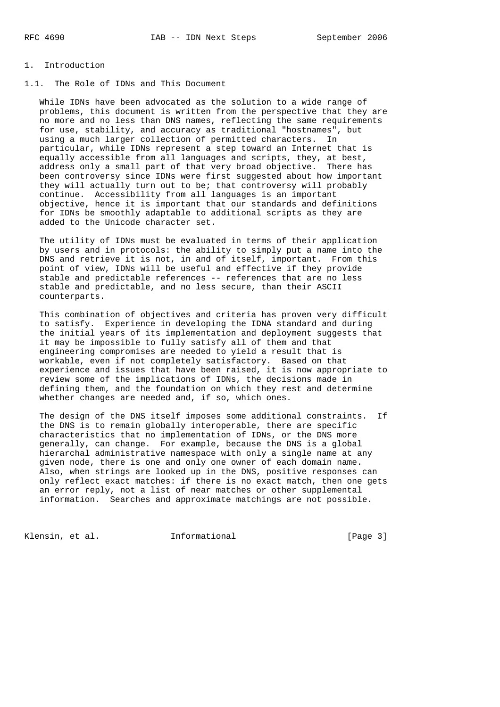## 1. Introduction

1.1. The Role of IDNs and This Document

 While IDNs have been advocated as the solution to a wide range of problems, this document is written from the perspective that they are no more and no less than DNS names, reflecting the same requirements for use, stability, and accuracy as traditional "hostnames", but using a much larger collection of permitted characters. In particular, while IDNs represent a step toward an Internet that is equally accessible from all languages and scripts, they, at best, address only a small part of that very broad objective. There has been controversy since IDNs were first suggested about how important they will actually turn out to be; that controversy will probably continue. Accessibility from all languages is an important objective, hence it is important that our standards and definitions for IDNs be smoothly adaptable to additional scripts as they are added to the Unicode character set.

 The utility of IDNs must be evaluated in terms of their application by users and in protocols: the ability to simply put a name into the DNS and retrieve it is not, in and of itself, important. From this point of view, IDNs will be useful and effective if they provide stable and predictable references -- references that are no less stable and predictable, and no less secure, than their ASCII counterparts.

 This combination of objectives and criteria has proven very difficult to satisfy. Experience in developing the IDNA standard and during the initial years of its implementation and deployment suggests that it may be impossible to fully satisfy all of them and that engineering compromises are needed to yield a result that is workable, even if not completely satisfactory. Based on that experience and issues that have been raised, it is now appropriate to review some of the implications of IDNs, the decisions made in defining them, and the foundation on which they rest and determine whether changes are needed and, if so, which ones.

 The design of the DNS itself imposes some additional constraints. If the DNS is to remain globally interoperable, there are specific characteristics that no implementation of IDNs, or the DNS more generally, can change. For example, because the DNS is a global hierarchal administrative namespace with only a single name at any given node, there is one and only one owner of each domain name. Also, when strings are looked up in the DNS, positive responses can only reflect exact matches: if there is no exact match, then one gets an error reply, not a list of near matches or other supplemental information. Searches and approximate matchings are not possible.

Klensin, et al. 1nformational 1999 [Page 3]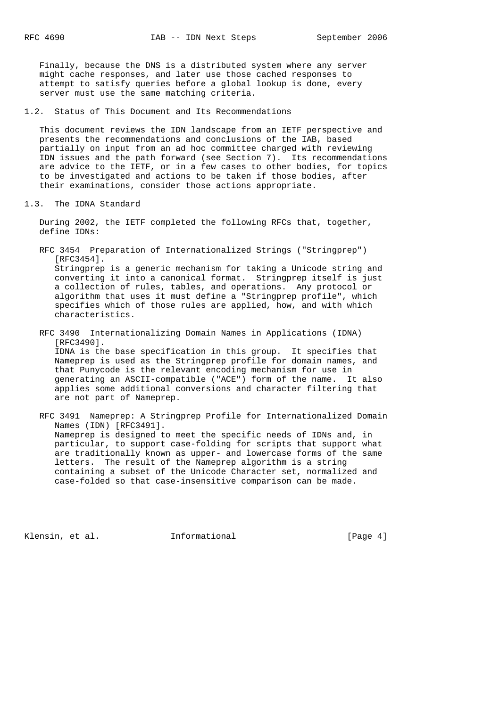Finally, because the DNS is a distributed system where any server might cache responses, and later use those cached responses to attempt to satisfy queries before a global lookup is done, every server must use the same matching criteria.

1.2. Status of This Document and Its Recommendations

 This document reviews the IDN landscape from an IETF perspective and presents the recommendations and conclusions of the IAB, based partially on input from an ad hoc committee charged with reviewing IDN issues and the path forward (see Section 7). Its recommendations are advice to the IETF, or in a few cases to other bodies, for topics to be investigated and actions to be taken if those bodies, after their examinations, consider those actions appropriate.

1.3. The IDNA Standard

 During 2002, the IETF completed the following RFCs that, together, define IDNs:

- RFC 3454 Preparation of Internationalized Strings ("Stringprep") [RFC3454]. Stringprep is a generic mechanism for taking a Unicode string and converting it into a canonical format. Stringprep itself is just a collection of rules, tables, and operations. Any protocol or algorithm that uses it must define a "Stringprep profile", which specifies which of those rules are applied, how, and with which characteristics.
- RFC 3490 Internationalizing Domain Names in Applications (IDNA) [RFC3490]. IDNA is the base specification in this group. It specifies that Nameprep is used as the Stringprep profile for domain names, and that Punycode is the relevant encoding mechanism for use in generating an ASCII-compatible ("ACE") form of the name. It also applies some additional conversions and character filtering that are not part of Nameprep.
- RFC 3491 Nameprep: A Stringprep Profile for Internationalized Domain Names (IDN) [RFC3491]. Nameprep is designed to meet the specific needs of IDNs and, in particular, to support case-folding for scripts that support what are traditionally known as upper- and lowercase forms of the same letters. The result of the Nameprep algorithm is a string containing a subset of the Unicode Character set, normalized and case-folded so that case-insensitive comparison can be made.

Klensin, et al. 1nformational 1999 [Page 4]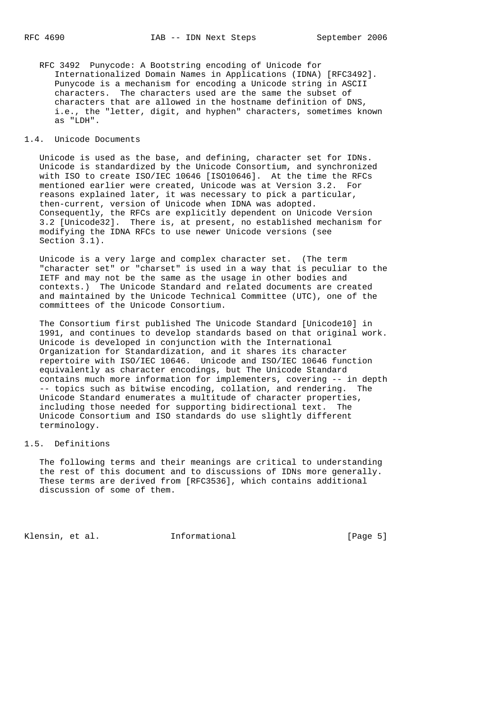RFC 3492 Punycode: A Bootstring encoding of Unicode for Internationalized Domain Names in Applications (IDNA) [RFC3492]. Punycode is a mechanism for encoding a Unicode string in ASCII characters. The characters used are the same the subset of characters that are allowed in the hostname definition of DNS, i.e., the "letter, digit, and hyphen" characters, sometimes known as "LDH".

#### 1.4. Unicode Documents

 Unicode is used as the base, and defining, character set for IDNs. Unicode is standardized by the Unicode Consortium, and synchronized with ISO to create ISO/IEC 10646 [ISO10646]. At the time the RFCs mentioned earlier were created, Unicode was at Version 3.2. For reasons explained later, it was necessary to pick a particular, then-current, version of Unicode when IDNA was adopted. Consequently, the RFCs are explicitly dependent on Unicode Version 3.2 [Unicode32]. There is, at present, no established mechanism for modifying the IDNA RFCs to use newer Unicode versions (see Section 3.1).

 Unicode is a very large and complex character set. (The term "character set" or "charset" is used in a way that is peculiar to the IETF and may not be the same as the usage in other bodies and contexts.) The Unicode Standard and related documents are created and maintained by the Unicode Technical Committee (UTC), one of the committees of the Unicode Consortium.

 The Consortium first published The Unicode Standard [Unicode10] in 1991, and continues to develop standards based on that original work. Unicode is developed in conjunction with the International Organization for Standardization, and it shares its character repertoire with ISO/IEC 10646. Unicode and ISO/IEC 10646 function equivalently as character encodings, but The Unicode Standard contains much more information for implementers, covering -- in depth -- topics such as bitwise encoding, collation, and rendering. The Unicode Standard enumerates a multitude of character properties, including those needed for supporting bidirectional text. The Unicode Consortium and ISO standards do use slightly different terminology.

## 1.5. Definitions

 The following terms and their meanings are critical to understanding the rest of this document and to discussions of IDNs more generally. These terms are derived from [RFC3536], which contains additional discussion of some of them.

Klensin, et al. 1nformational 1999 [Page 5]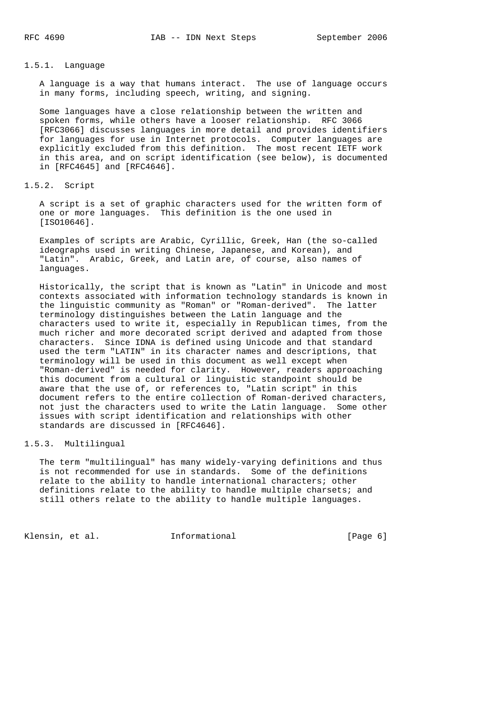### 1.5.1. Language

 A language is a way that humans interact. The use of language occurs in many forms, including speech, writing, and signing.

 Some languages have a close relationship between the written and spoken forms, while others have a looser relationship. RFC 3066 [RFC3066] discusses languages in more detail and provides identifiers for languages for use in Internet protocols. Computer languages are explicitly excluded from this definition. The most recent IETF work in this area, and on script identification (see below), is documented in [RFC4645] and [RFC4646].

### 1.5.2. Script

 A script is a set of graphic characters used for the written form of one or more languages. This definition is the one used in [ISO10646].

 Examples of scripts are Arabic, Cyrillic, Greek, Han (the so-called ideographs used in writing Chinese, Japanese, and Korean), and "Latin". Arabic, Greek, and Latin are, of course, also names of languages.

 Historically, the script that is known as "Latin" in Unicode and most contexts associated with information technology standards is known in the linguistic community as "Roman" or "Roman-derived". The latter terminology distinguishes between the Latin language and the characters used to write it, especially in Republican times, from the much richer and more decorated script derived and adapted from those characters. Since IDNA is defined using Unicode and that standard used the term "LATIN" in its character names and descriptions, that terminology will be used in this document as well except when "Roman-derived" is needed for clarity. However, readers approaching this document from a cultural or linguistic standpoint should be aware that the use of, or references to, "Latin script" in this document refers to the entire collection of Roman-derived characters, not just the characters used to write the Latin language. Some other issues with script identification and relationships with other standards are discussed in [RFC4646].

## 1.5.3. Multilingual

 The term "multilingual" has many widely-varying definitions and thus is not recommended for use in standards. Some of the definitions relate to the ability to handle international characters; other definitions relate to the ability to handle multiple charsets; and still others relate to the ability to handle multiple languages.

Klensin, et al. 1nformational 1999 [Page 6]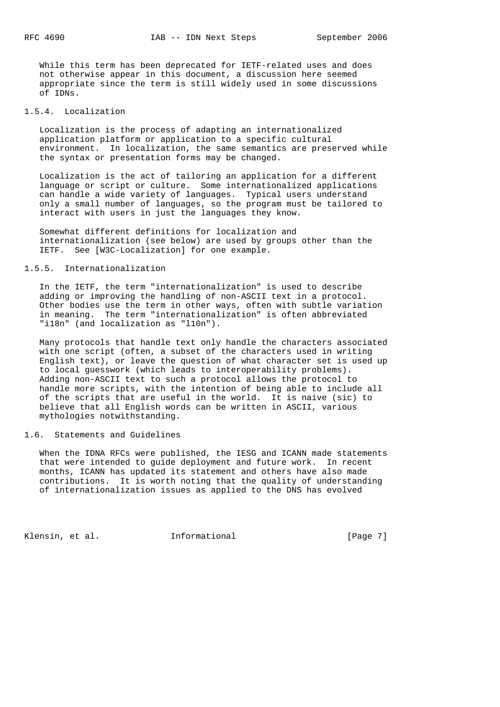While this term has been deprecated for IETF-related uses and does not otherwise appear in this document, a discussion here seemed appropriate since the term is still widely used in some discussions of IDNs.

### 1.5.4. Localization

 Localization is the process of adapting an internationalized application platform or application to a specific cultural environment. In localization, the same semantics are preserved while the syntax or presentation forms may be changed.

 Localization is the act of tailoring an application for a different language or script or culture. Some internationalized applications can handle a wide variety of languages. Typical users understand only a small number of languages, so the program must be tailored to interact with users in just the languages they know.

 Somewhat different definitions for localization and internationalization (see below) are used by groups other than the IETF. See [W3C-Localization] for one example.

### 1.5.5. Internationalization

 In the IETF, the term "internationalization" is used to describe adding or improving the handling of non-ASCII text in a protocol. Other bodies use the term in other ways, often with subtle variation in meaning. The term "internationalization" is often abbreviated "i18n" (and localization as "l10n").

 Many protocols that handle text only handle the characters associated with one script (often, a subset of the characters used in writing English text), or leave the question of what character set is used up to local guesswork (which leads to interoperability problems). Adding non-ASCII text to such a protocol allows the protocol to handle more scripts, with the intention of being able to include all of the scripts that are useful in the world. It is naive (sic) to believe that all English words can be written in ASCII, various mythologies notwithstanding.

#### 1.6. Statements and Guidelines

 When the IDNA RFCs were published, the IESG and ICANN made statements that were intended to guide deployment and future work. In recent months, ICANN has updated its statement and others have also made contributions. It is worth noting that the quality of understanding of internationalization issues as applied to the DNS has evolved

Klensin, et al. 1nformational 1999 [Page 7]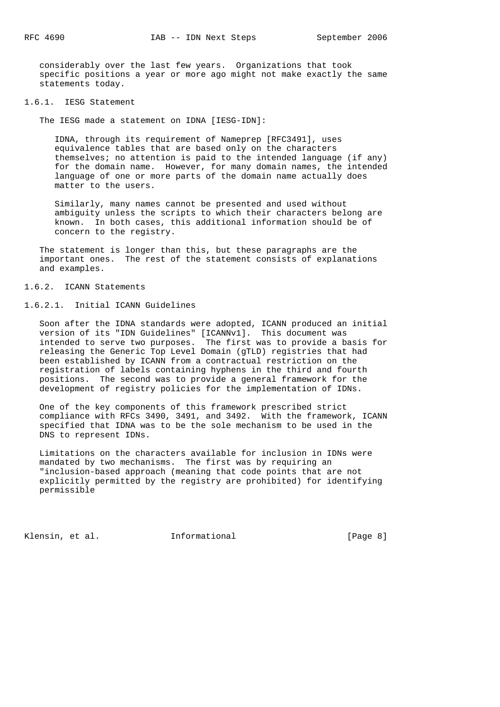considerably over the last few years. Organizations that took specific positions a year or more ago might not make exactly the same statements today.

#### 1.6.1. IESG Statement

The IESG made a statement on IDNA [IESG-IDN]:

 IDNA, through its requirement of Nameprep [RFC3491], uses equivalence tables that are based only on the characters themselves; no attention is paid to the intended language (if any) for the domain name. However, for many domain names, the intended language of one or more parts of the domain name actually does matter to the users.

 Similarly, many names cannot be presented and used without ambiguity unless the scripts to which their characters belong are known. In both cases, this additional information should be of concern to the registry.

 The statement is longer than this, but these paragraphs are the important ones. The rest of the statement consists of explanations and examples.

## 1.6.2. ICANN Statements

## 1.6.2.1. Initial ICANN Guidelines

 Soon after the IDNA standards were adopted, ICANN produced an initial version of its "IDN Guidelines" [ICANNv1]. This document was intended to serve two purposes. The first was to provide a basis for releasing the Generic Top Level Domain (gTLD) registries that had been established by ICANN from a contractual restriction on the registration of labels containing hyphens in the third and fourth positions. The second was to provide a general framework for the development of registry policies for the implementation of IDNs.

 One of the key components of this framework prescribed strict compliance with RFCs 3490, 3491, and 3492. With the framework, ICANN specified that IDNA was to be the sole mechanism to be used in the DNS to represent IDNs.

 Limitations on the characters available for inclusion in IDNs were mandated by two mechanisms. The first was by requiring an "inclusion-based approach (meaning that code points that are not explicitly permitted by the registry are prohibited) for identifying permissible

Klensin, et al. 1nformational 1999 [Page 8]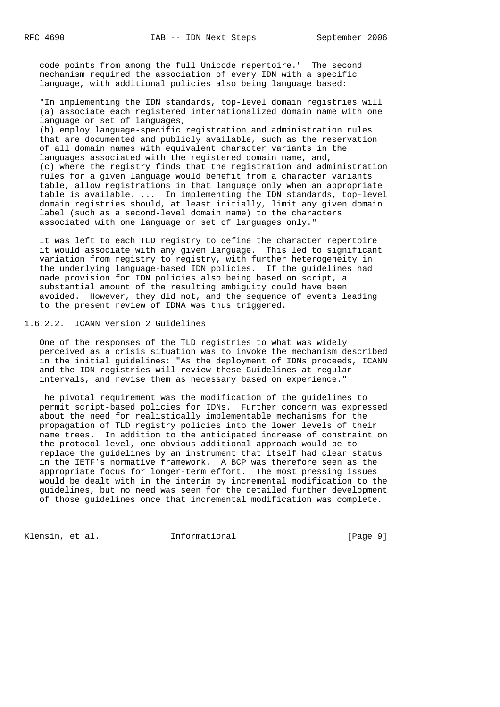code points from among the full Unicode repertoire." The second mechanism required the association of every IDN with a specific language, with additional policies also being language based:

 "In implementing the IDN standards, top-level domain registries will (a) associate each registered internationalized domain name with one language or set of languages,

 (b) employ language-specific registration and administration rules that are documented and publicly available, such as the reservation of all domain names with equivalent character variants in the languages associated with the registered domain name, and, (c) where the registry finds that the registration and administration rules for a given language would benefit from a character variants table, allow registrations in that language only when an appropriate table is available. ... In implementing the IDN standards, top-level domain registries should, at least initially, limit any given domain label (such as a second-level domain name) to the characters associated with one language or set of languages only."

 It was left to each TLD registry to define the character repertoire it would associate with any given language. This led to significant variation from registry to registry, with further heterogeneity in the underlying language-based IDN policies. If the guidelines had made provision for IDN policies also being based on script, a substantial amount of the resulting ambiguity could have been avoided. However, they did not, and the sequence of events leading to the present review of IDNA was thus triggered.

# 1.6.2.2. ICANN Version 2 Guidelines

 One of the responses of the TLD registries to what was widely perceived as a crisis situation was to invoke the mechanism described in the initial guidelines: "As the deployment of IDNs proceeds, ICANN and the IDN registries will review these Guidelines at regular intervals, and revise them as necessary based on experience."

 The pivotal requirement was the modification of the guidelines to permit script-based policies for IDNs. Further concern was expressed about the need for realistically implementable mechanisms for the propagation of TLD registry policies into the lower levels of their name trees. In addition to the anticipated increase of constraint on the protocol level, one obvious additional approach would be to replace the guidelines by an instrument that itself had clear status in the IETF's normative framework. A BCP was therefore seen as the appropriate focus for longer-term effort. The most pressing issues would be dealt with in the interim by incremental modification to the guidelines, but no need was seen for the detailed further development of those guidelines once that incremental modification was complete.

Klensin, et al. 1nformational [Page 9]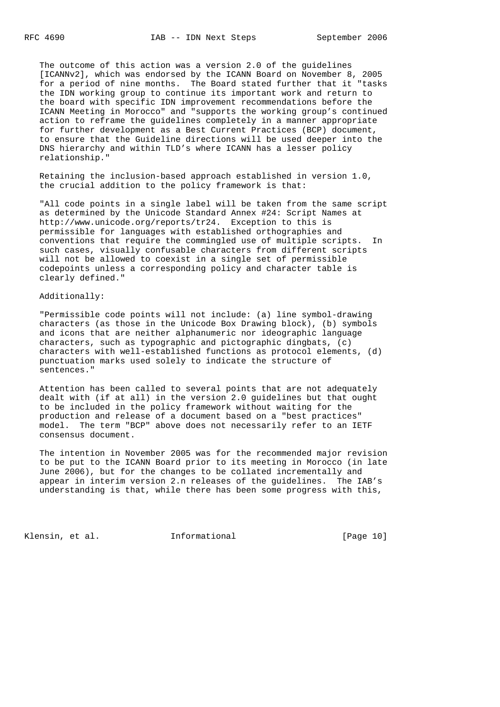The outcome of this action was a version 2.0 of the guidelines [ICANNv2], which was endorsed by the ICANN Board on November 8, 2005 for a period of nine months. The Board stated further that it "tasks the IDN working group to continue its important work and return to the board with specific IDN improvement recommendations before the ICANN Meeting in Morocco" and "supports the working group's continued action to reframe the guidelines completely in a manner appropriate for further development as a Best Current Practices (BCP) document, to ensure that the Guideline directions will be used deeper into the DNS hierarchy and within TLD's where ICANN has a lesser policy relationship."

 Retaining the inclusion-based approach established in version 1.0, the crucial addition to the policy framework is that:

 "All code points in a single label will be taken from the same script as determined by the Unicode Standard Annex #24: Script Names at http://www.unicode.org/reports/tr24. Exception to this is permissible for languages with established orthographies and conventions that require the commingled use of multiple scripts. In such cases, visually confusable characters from different scripts will not be allowed to coexist in a single set of permissible codepoints unless a corresponding policy and character table is clearly defined."

#### Additionally:

 "Permissible code points will not include: (a) line symbol-drawing characters (as those in the Unicode Box Drawing block), (b) symbols and icons that are neither alphanumeric nor ideographic language characters, such as typographic and pictographic dingbats, (c) characters with well-established functions as protocol elements, (d) punctuation marks used solely to indicate the structure of sentences."

 Attention has been called to several points that are not adequately dealt with (if at all) in the version 2.0 guidelines but that ought to be included in the policy framework without waiting for the production and release of a document based on a "best practices" model. The term "BCP" above does not necessarily refer to an IETF consensus document.

 The intention in November 2005 was for the recommended major revision to be put to the ICANN Board prior to its meeting in Morocco (in late June 2006), but for the changes to be collated incrementally and appear in interim version 2.n releases of the guidelines. The IAB's understanding is that, while there has been some progress with this,

Klensin, et al. **Informational** [Page 10]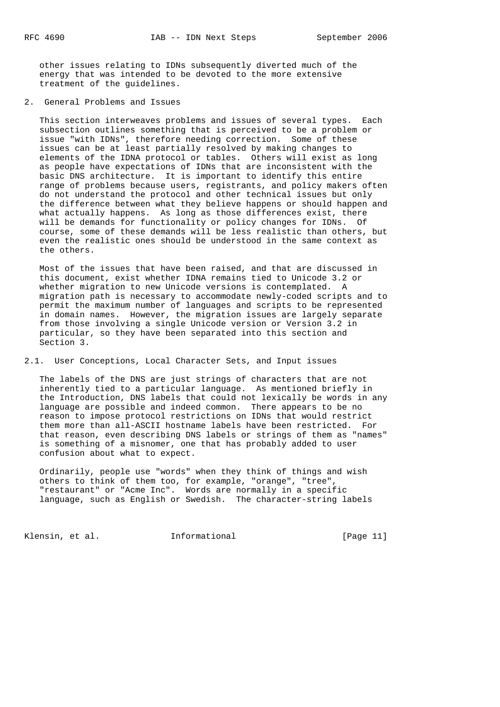other issues relating to IDNs subsequently diverted much of the energy that was intended to be devoted to the more extensive treatment of the guidelines.

2. General Problems and Issues

 This section interweaves problems and issues of several types. Each subsection outlines something that is perceived to be a problem or issue "with IDNs", therefore needing correction. Some of these issues can be at least partially resolved by making changes to elements of the IDNA protocol or tables. Others will exist as long as people have expectations of IDNs that are inconsistent with the basic DNS architecture. It is important to identify this entire range of problems because users, registrants, and policy makers often do not understand the protocol and other technical issues but only the difference between what they believe happens or should happen and what actually happens. As long as those differences exist, there will be demands for functionality or policy changes for IDNs. Of course, some of these demands will be less realistic than others, but even the realistic ones should be understood in the same context as the others.

 Most of the issues that have been raised, and that are discussed in this document, exist whether IDNA remains tied to Unicode 3.2 or whether migration to new Unicode versions is contemplated. A migration path is necessary to accommodate newly-coded scripts and to permit the maximum number of languages and scripts to be represented in domain names. However, the migration issues are largely separate from those involving a single Unicode version or Version 3.2 in particular, so they have been separated into this section and Section 3.

2.1. User Conceptions, Local Character Sets, and Input issues

 The labels of the DNS are just strings of characters that are not inherently tied to a particular language. As mentioned briefly in the Introduction, DNS labels that could not lexically be words in any language are possible and indeed common. There appears to be no reason to impose protocol restrictions on IDNs that would restrict them more than all-ASCII hostname labels have been restricted. For that reason, even describing DNS labels or strings of them as "names" is something of a misnomer, one that has probably added to user confusion about what to expect.

 Ordinarily, people use "words" when they think of things and wish others to think of them too, for example, "orange", "tree", "restaurant" or "Acme Inc". Words are normally in a specific language, such as English or Swedish. The character-string labels

Klensin, et al. 1nformational [Page 11]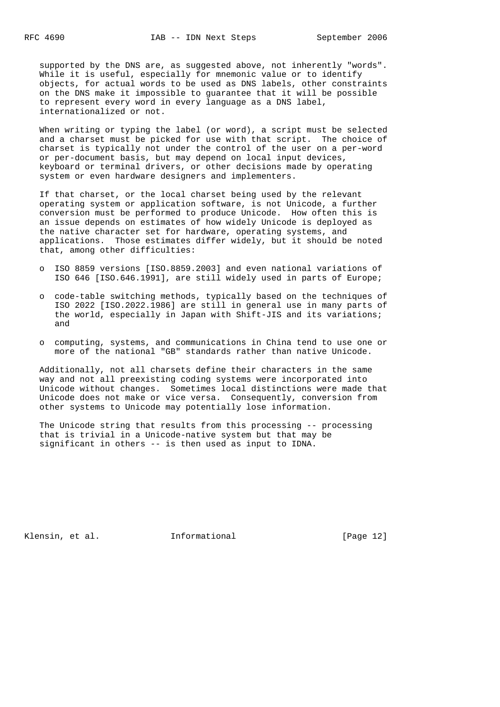supported by the DNS are, as suggested above, not inherently "words". While it is useful, especially for mnemonic value or to identify objects, for actual words to be used as DNS labels, other constraints on the DNS make it impossible to guarantee that it will be possible to represent every word in every language as a DNS label, internationalized or not.

 When writing or typing the label (or word), a script must be selected and a charset must be picked for use with that script. The choice of charset is typically not under the control of the user on a per-word or per-document basis, but may depend on local input devices, keyboard or terminal drivers, or other decisions made by operating system or even hardware designers and implementers.

 If that charset, or the local charset being used by the relevant operating system or application software, is not Unicode, a further conversion must be performed to produce Unicode. How often this is an issue depends on estimates of how widely Unicode is deployed as the native character set for hardware, operating systems, and applications. Those estimates differ widely, but it should be noted that, among other difficulties:

- o ISO 8859 versions [ISO.8859.2003] and even national variations of ISO 646 [ISO.646.1991], are still widely used in parts of Europe;
- o code-table switching methods, typically based on the techniques of ISO 2022 [ISO.2022.1986] are still in general use in many parts of the world, especially in Japan with Shift-JIS and its variations; and
- o computing, systems, and communications in China tend to use one or more of the national "GB" standards rather than native Unicode.

 Additionally, not all charsets define their characters in the same way and not all preexisting coding systems were incorporated into Unicode without changes. Sometimes local distinctions were made that Unicode does not make or vice versa. Consequently, conversion from other systems to Unicode may potentially lose information.

 The Unicode string that results from this processing -- processing that is trivial in a Unicode-native system but that may be significant in others -- is then used as input to IDNA.

Klensin, et al. 1nformational [Page 12]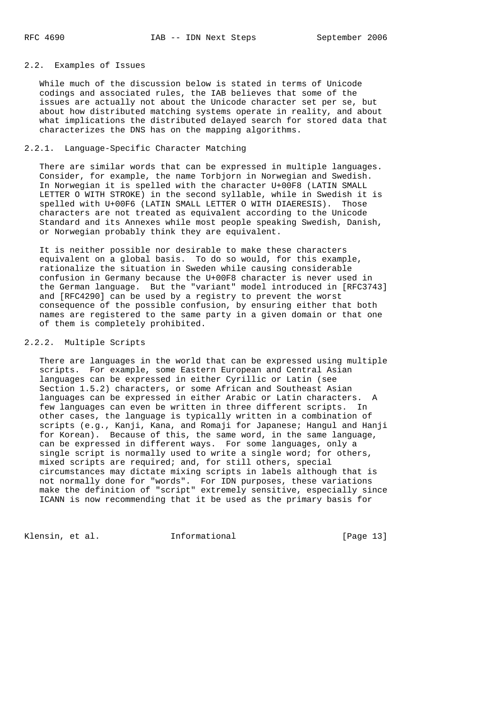## 2.2. Examples of Issues

 While much of the discussion below is stated in terms of Unicode codings and associated rules, the IAB believes that some of the issues are actually not about the Unicode character set per se, but about how distributed matching systems operate in reality, and about what implications the distributed delayed search for stored data that characterizes the DNS has on the mapping algorithms.

## 2.2.1. Language-Specific Character Matching

 There are similar words that can be expressed in multiple languages. Consider, for example, the name Torbjorn in Norwegian and Swedish. In Norwegian it is spelled with the character U+00F8 (LATIN SMALL LETTER O WITH STROKE) in the second syllable, while in Swedish it is spelled with U+00F6 (LATIN SMALL LETTER O WITH DIAERESIS). Those characters are not treated as equivalent according to the Unicode Standard and its Annexes while most people speaking Swedish, Danish, or Norwegian probably think they are equivalent.

 It is neither possible nor desirable to make these characters equivalent on a global basis. To do so would, for this example, rationalize the situation in Sweden while causing considerable confusion in Germany because the U+00F8 character is never used in the German language. But the "variant" model introduced in [RFC3743] and [RFC4290] can be used by a registry to prevent the worst consequence of the possible confusion, by ensuring either that both names are registered to the same party in a given domain or that one of them is completely prohibited.

### 2.2.2. Multiple Scripts

 There are languages in the world that can be expressed using multiple scripts. For example, some Eastern European and Central Asian languages can be expressed in either Cyrillic or Latin (see Section 1.5.2) characters, or some African and Southeast Asian languages can be expressed in either Arabic or Latin characters. A few languages can even be written in three different scripts. In other cases, the language is typically written in a combination of scripts (e.g., Kanji, Kana, and Romaji for Japanese; Hangul and Hanji for Korean). Because of this, the same word, in the same language, can be expressed in different ways. For some languages, only a single script is normally used to write a single word; for others, mixed scripts are required; and, for still others, special circumstances may dictate mixing scripts in labels although that is not normally done for "words". For IDN purposes, these variations make the definition of "script" extremely sensitive, especially since ICANN is now recommending that it be used as the primary basis for

Klensin, et al. Informational [Page 13]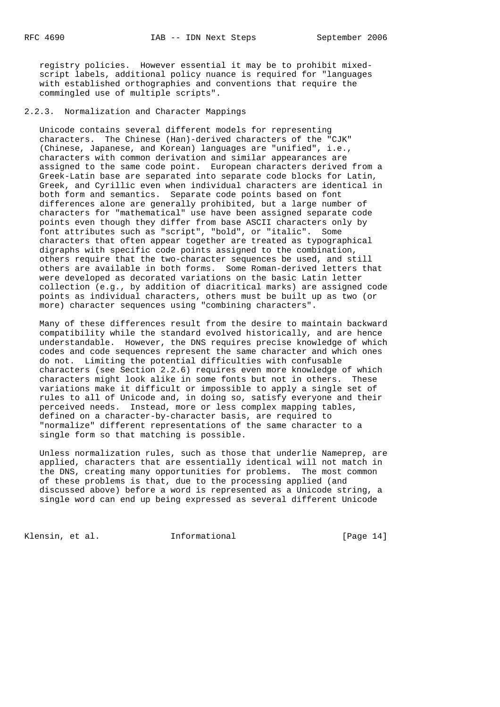registry policies. However essential it may be to prohibit mixed script labels, additional policy nuance is required for "languages with established orthographies and conventions that require the commingled use of multiple scripts".

2.2.3. Normalization and Character Mappings

 Unicode contains several different models for representing characters. The Chinese (Han)-derived characters of the "CJK" (Chinese, Japanese, and Korean) languages are "unified", i.e., characters with common derivation and similar appearances are assigned to the same code point. European characters derived from a Greek-Latin base are separated into separate code blocks for Latin, Greek, and Cyrillic even when individual characters are identical in both form and semantics. Separate code points based on font differences alone are generally prohibited, but a large number of characters for "mathematical" use have been assigned separate code points even though they differ from base ASCII characters only by font attributes such as "script", "bold", or "italic". Some characters that often appear together are treated as typographical digraphs with specific code points assigned to the combination, others require that the two-character sequences be used, and still others are available in both forms. Some Roman-derived letters that were developed as decorated variations on the basic Latin letter collection (e.g., by addition of diacritical marks) are assigned code points as individual characters, others must be built up as two (or more) character sequences using "combining characters".

 Many of these differences result from the desire to maintain backward compatibility while the standard evolved historically, and are hence understandable. However, the DNS requires precise knowledge of which codes and code sequences represent the same character and which ones do not. Limiting the potential difficulties with confusable characters (see Section 2.2.6) requires even more knowledge of which characters might look alike in some fonts but not in others. These variations make it difficult or impossible to apply a single set of rules to all of Unicode and, in doing so, satisfy everyone and their perceived needs. Instead, more or less complex mapping tables, defined on a character-by-character basis, are required to "normalize" different representations of the same character to a single form so that matching is possible.

 Unless normalization rules, such as those that underlie Nameprep, are applied, characters that are essentially identical will not match in the DNS, creating many opportunities for problems. The most common of these problems is that, due to the processing applied (and discussed above) before a word is represented as a Unicode string, a single word can end up being expressed as several different Unicode

Klensin, et al. 1nformational [Page 14]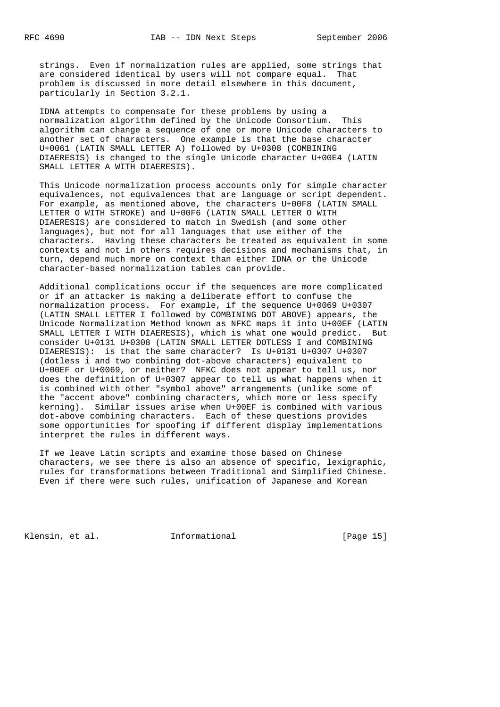strings. Even if normalization rules are applied, some strings that are considered identical by users will not compare equal. That problem is discussed in more detail elsewhere in this document, particularly in Section 3.2.1.

 IDNA attempts to compensate for these problems by using a normalization algorithm defined by the Unicode Consortium. This algorithm can change a sequence of one or more Unicode characters to another set of characters. One example is that the base character U+0061 (LATIN SMALL LETTER A) followed by U+0308 (COMBINING DIAERESIS) is changed to the single Unicode character U+00E4 (LATIN SMALL LETTER A WITH DIAERESIS).

 This Unicode normalization process accounts only for simple character equivalences, not equivalences that are language or script dependent. For example, as mentioned above, the characters U+00F8 (LATIN SMALL LETTER O WITH STROKE) and U+00F6 (LATIN SMALL LETTER O WITH DIAERESIS) are considered to match in Swedish (and some other languages), but not for all languages that use either of the characters. Having these characters be treated as equivalent in some contexts and not in others requires decisions and mechanisms that, in turn, depend much more on context than either IDNA or the Unicode character-based normalization tables can provide.

 Additional complications occur if the sequences are more complicated or if an attacker is making a deliberate effort to confuse the normalization process. For example, if the sequence U+0069 U+0307 (LATIN SMALL LETTER I followed by COMBINING DOT ABOVE) appears, the Unicode Normalization Method known as NFKC maps it into U+00EF (LATIN SMALL LETTER I WITH DIAERESIS), which is what one would predict. But consider U+0131 U+0308 (LATIN SMALL LETTER DOTLESS I and COMBINING DIAERESIS): is that the same character? Is U+0131 U+0307 U+0307 (dotless i and two combining dot-above characters) equivalent to U+00EF or U+0069, or neither? NFKC does not appear to tell us, nor does the definition of U+0307 appear to tell us what happens when it is combined with other "symbol above" arrangements (unlike some of the "accent above" combining characters, which more or less specify kerning). Similar issues arise when U+00EF is combined with various dot-above combining characters. Each of these questions provides some opportunities for spoofing if different display implementations interpret the rules in different ways.

 If we leave Latin scripts and examine those based on Chinese characters, we see there is also an absence of specific, lexigraphic, rules for transformations between Traditional and Simplified Chinese. Even if there were such rules, unification of Japanese and Korean

Klensin, et al. 1nformational [Page 15]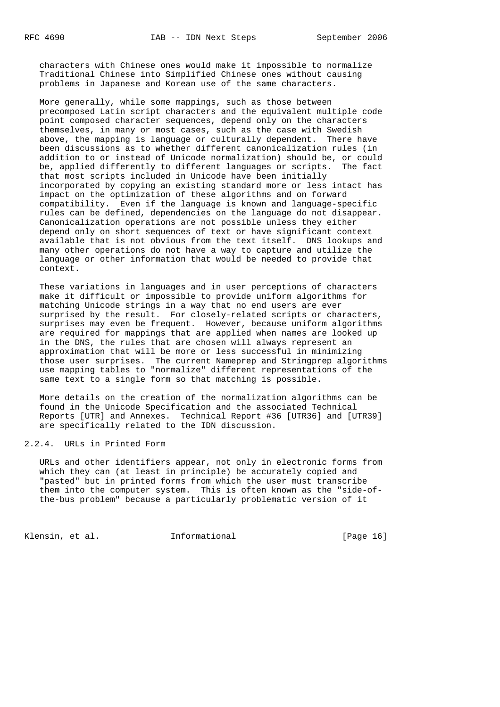characters with Chinese ones would make it impossible to normalize Traditional Chinese into Simplified Chinese ones without causing problems in Japanese and Korean use of the same characters.

 More generally, while some mappings, such as those between precomposed Latin script characters and the equivalent multiple code point composed character sequences, depend only on the characters themselves, in many or most cases, such as the case with Swedish above, the mapping is language or culturally dependent. There have been discussions as to whether different canonicalization rules (in addition to or instead of Unicode normalization) should be, or could be, applied differently to different languages or scripts. The fact that most scripts included in Unicode have been initially incorporated by copying an existing standard more or less intact has impact on the optimization of these algorithms and on forward compatibility. Even if the language is known and language-specific rules can be defined, dependencies on the language do not disappear. Canonicalization operations are not possible unless they either depend only on short sequences of text or have significant context available that is not obvious from the text itself. DNS lookups and many other operations do not have a way to capture and utilize the language or other information that would be needed to provide that context.

 These variations in languages and in user perceptions of characters make it difficult or impossible to provide uniform algorithms for matching Unicode strings in a way that no end users are ever surprised by the result. For closely-related scripts or characters, surprises may even be frequent. However, because uniform algorithms are required for mappings that are applied when names are looked up in the DNS, the rules that are chosen will always represent an approximation that will be more or less successful in minimizing those user surprises. The current Nameprep and Stringprep algorithms use mapping tables to "normalize" different representations of the same text to a single form so that matching is possible.

 More details on the creation of the normalization algorithms can be found in the Unicode Specification and the associated Technical Reports [UTR] and Annexes. Technical Report #36 [UTR36] and [UTR39] are specifically related to the IDN discussion.

## 2.2.4. URLs in Printed Form

 URLs and other identifiers appear, not only in electronic forms from which they can (at least in principle) be accurately copied and "pasted" but in printed forms from which the user must transcribe them into the computer system. This is often known as the "side-of the-bus problem" because a particularly problematic version of it

Klensin, et al. 1nformational [Page 16]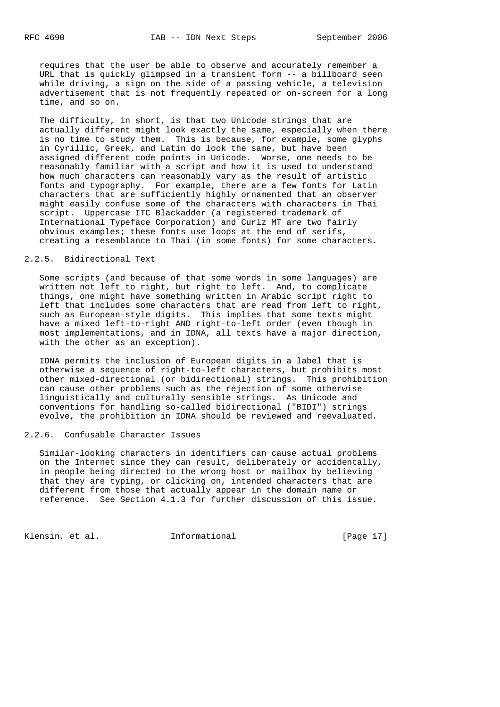requires that the user be able to observe and accurately remember a URL that is quickly glimpsed in a transient form -- a billboard seen while driving, a sign on the side of a passing vehicle, a television advertisement that is not frequently repeated or on-screen for a long time, and so on.

 The difficulty, in short, is that two Unicode strings that are actually different might look exactly the same, especially when there is no time to study them. This is because, for example, some glyphs in Cyrillic, Greek, and Latin do look the same, but have been assigned different code points in Unicode. Worse, one needs to be reasonably familiar with a script and how it is used to understand how much characters can reasonably vary as the result of artistic fonts and typography. For example, there are a few fonts for Latin characters that are sufficiently highly ornamented that an observer might easily confuse some of the characters with characters in Thai script. Uppercase ITC Blackadder (a registered trademark of International Typeface Corporation) and Curlz MT are two fairly obvious examples; these fonts use loops at the end of serifs, creating a resemblance to Thai (in some fonts) for some characters.

#### 2.2.5. Bidirectional Text

 Some scripts (and because of that some words in some languages) are written not left to right, but right to left. And, to complicate things, one might have something written in Arabic script right to left that includes some characters that are read from left to right, such as European-style digits. This implies that some texts might have a mixed left-to-right AND right-to-left order (even though in most implementations, and in IDNA, all texts have a major direction, with the other as an exception).

 IDNA permits the inclusion of European digits in a label that is otherwise a sequence of right-to-left characters, but prohibits most other mixed-directional (or bidirectional) strings. This prohibition can cause other problems such as the rejection of some otherwise linguistically and culturally sensible strings. As Unicode and conventions for handling so-called bidirectional ("BIDI") strings evolve, the prohibition in IDNA should be reviewed and reevaluated.

#### 2.2.6. Confusable Character Issues

 Similar-looking characters in identifiers can cause actual problems on the Internet since they can result, deliberately or accidentally, in people being directed to the wrong host or mailbox by believing that they are typing, or clicking on, intended characters that are different from those that actually appear in the domain name or reference. See Section 4.1.3 for further discussion of this issue.

Klensin, et al. 1nformational [Page 17]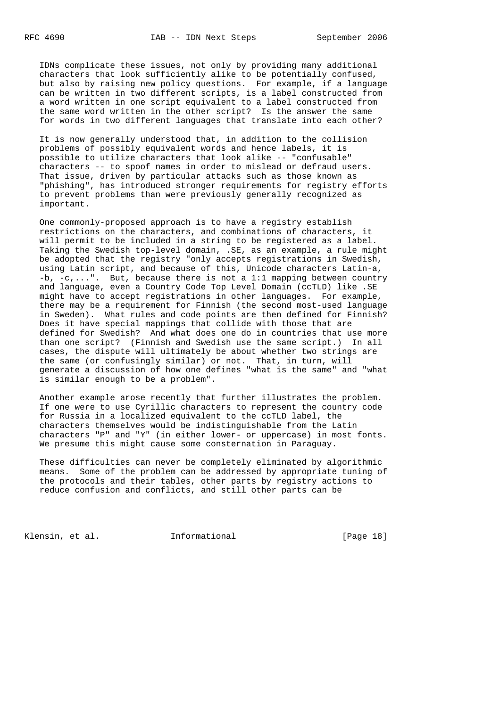IDNs complicate these issues, not only by providing many additional characters that look sufficiently alike to be potentially confused, but also by raising new policy questions. For example, if a language can be written in two different scripts, is a label constructed from a word written in one script equivalent to a label constructed from the same word written in the other script? Is the answer the same for words in two different languages that translate into each other?

 It is now generally understood that, in addition to the collision problems of possibly equivalent words and hence labels, it is possible to utilize characters that look alike -- "confusable" characters -- to spoof names in order to mislead or defraud users. That issue, driven by particular attacks such as those known as "phishing", has introduced stronger requirements for registry efforts to prevent problems than were previously generally recognized as important.

 One commonly-proposed approach is to have a registry establish restrictions on the characters, and combinations of characters, it will permit to be included in a string to be registered as a label. Taking the Swedish top-level domain, .SE, as an example, a rule might be adopted that the registry "only accepts registrations in Swedish, using Latin script, and because of this, Unicode characters Latin-a, -b, -c,...". But, because there is not a 1:1 mapping between country and language, even a Country Code Top Level Domain (ccTLD) like .SE might have to accept registrations in other languages. For example, there may be a requirement for Finnish (the second most-used language in Sweden). What rules and code points are then defined for Finnish? Does it have special mappings that collide with those that are defined for Swedish? And what does one do in countries that use more than one script? (Finnish and Swedish use the same script.) In all cases, the dispute will ultimately be about whether two strings are the same (or confusingly similar) or not. That, in turn, will generate a discussion of how one defines "what is the same" and "what is similar enough to be a problem".

 Another example arose recently that further illustrates the problem. If one were to use Cyrillic characters to represent the country code for Russia in a localized equivalent to the ccTLD label, the characters themselves would be indistinguishable from the Latin characters "P" and "Y" (in either lower- or uppercase) in most fonts. We presume this might cause some consternation in Paraguay.

 These difficulties can never be completely eliminated by algorithmic means. Some of the problem can be addressed by appropriate tuning of the protocols and their tables, other parts by registry actions to reduce confusion and conflicts, and still other parts can be

Klensin, et al. **Informational** [Page 18]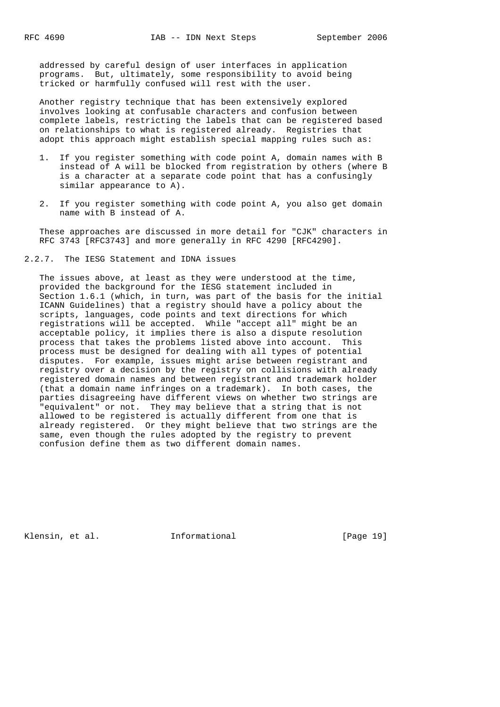addressed by careful design of user interfaces in application programs. But, ultimately, some responsibility to avoid being tricked or harmfully confused will rest with the user.

 Another registry technique that has been extensively explored involves looking at confusable characters and confusion between complete labels, restricting the labels that can be registered based on relationships to what is registered already. Registries that adopt this approach might establish special mapping rules such as:

- 1. If you register something with code point A, domain names with B instead of A will be blocked from registration by others (where B is a character at a separate code point that has a confusingly similar appearance to A).
- 2. If you register something with code point A, you also get domain name with B instead of A.

 These approaches are discussed in more detail for "CJK" characters in RFC 3743 [RFC3743] and more generally in RFC 4290 [RFC4290].

2.2.7. The IESG Statement and IDNA issues

 The issues above, at least as they were understood at the time, provided the background for the IESG statement included in Section 1.6.1 (which, in turn, was part of the basis for the initial ICANN Guidelines) that a registry should have a policy about the scripts, languages, code points and text directions for which registrations will be accepted. While "accept all" might be an acceptable policy, it implies there is also a dispute resolution process that takes the problems listed above into account. This process must be designed for dealing with all types of potential disputes. For example, issues might arise between registrant and registry over a decision by the registry on collisions with already registered domain names and between registrant and trademark holder (that a domain name infringes on a trademark). In both cases, the parties disagreeing have different views on whether two strings are "equivalent" or not. They may believe that a string that is not allowed to be registered is actually different from one that is already registered. Or they might believe that two strings are the same, even though the rules adopted by the registry to prevent confusion define them as two different domain names.

Klensin, et al. 1nformational [Page 19]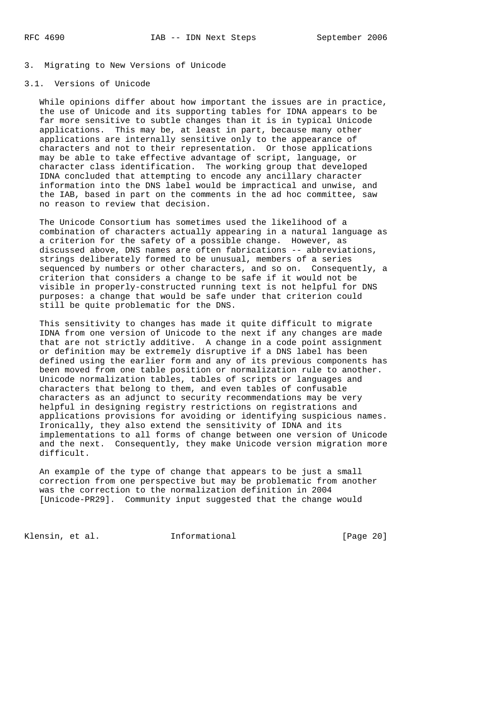## 3. Migrating to New Versions of Unicode

## 3.1. Versions of Unicode

 While opinions differ about how important the issues are in practice, the use of Unicode and its supporting tables for IDNA appears to be far more sensitive to subtle changes than it is in typical Unicode applications. This may be, at least in part, because many other applications are internally sensitive only to the appearance of characters and not to their representation. Or those applications may be able to take effective advantage of script, language, or character class identification. The working group that developed IDNA concluded that attempting to encode any ancillary character information into the DNS label would be impractical and unwise, and the IAB, based in part on the comments in the ad hoc committee, saw no reason to review that decision.

 The Unicode Consortium has sometimes used the likelihood of a combination of characters actually appearing in a natural language as a criterion for the safety of a possible change. However, as discussed above, DNS names are often fabrications -- abbreviations, strings deliberately formed to be unusual, members of a series sequenced by numbers or other characters, and so on. Consequently, a criterion that considers a change to be safe if it would not be visible in properly-constructed running text is not helpful for DNS purposes: a change that would be safe under that criterion could still be quite problematic for the DNS.

 This sensitivity to changes has made it quite difficult to migrate IDNA from one version of Unicode to the next if any changes are made that are not strictly additive. A change in a code point assignment or definition may be extremely disruptive if a DNS label has been defined using the earlier form and any of its previous components has been moved from one table position or normalization rule to another. Unicode normalization tables, tables of scripts or languages and characters that belong to them, and even tables of confusable characters as an adjunct to security recommendations may be very helpful in designing registry restrictions on registrations and applications provisions for avoiding or identifying suspicious names. Ironically, they also extend the sensitivity of IDNA and its implementations to all forms of change between one version of Unicode and the next. Consequently, they make Unicode version migration more difficult.

 An example of the type of change that appears to be just a small correction from one perspective but may be problematic from another was the correction to the normalization definition in 2004 [Unicode-PR29]. Community input suggested that the change would

Klensin, et al. 1nformational [Page 20]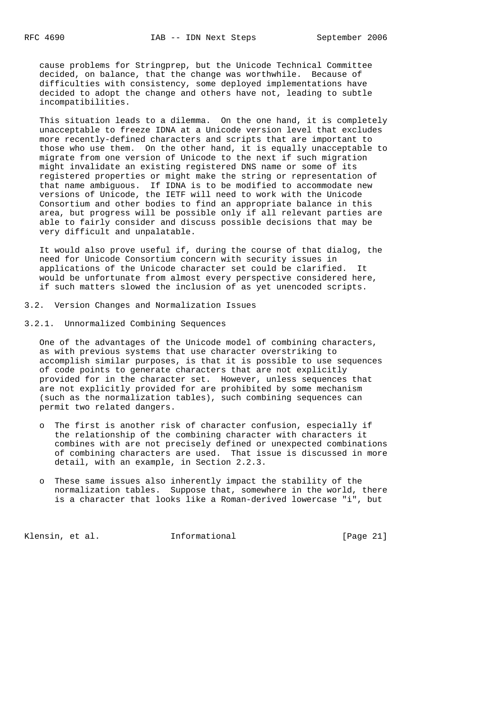cause problems for Stringprep, but the Unicode Technical Committee decided, on balance, that the change was worthwhile. Because of difficulties with consistency, some deployed implementations have decided to adopt the change and others have not, leading to subtle incompatibilities.

 This situation leads to a dilemma. On the one hand, it is completely unacceptable to freeze IDNA at a Unicode version level that excludes more recently-defined characters and scripts that are important to those who use them. On the other hand, it is equally unacceptable to migrate from one version of Unicode to the next if such migration might invalidate an existing registered DNS name or some of its registered properties or might make the string or representation of that name ambiguous. If IDNA is to be modified to accommodate new versions of Unicode, the IETF will need to work with the Unicode Consortium and other bodies to find an appropriate balance in this area, but progress will be possible only if all relevant parties are able to fairly consider and discuss possible decisions that may be very difficult and unpalatable.

 It would also prove useful if, during the course of that dialog, the need for Unicode Consortium concern with security issues in applications of the Unicode character set could be clarified. It would be unfortunate from almost every perspective considered here, if such matters slowed the inclusion of as yet unencoded scripts.

- 3.2. Version Changes and Normalization Issues
- 3.2.1. Unnormalized Combining Sequences

 One of the advantages of the Unicode model of combining characters, as with previous systems that use character overstriking to accomplish similar purposes, is that it is possible to use sequences of code points to generate characters that are not explicitly provided for in the character set. However, unless sequences that are not explicitly provided for are prohibited by some mechanism (such as the normalization tables), such combining sequences can permit two related dangers.

- o The first is another risk of character confusion, especially if the relationship of the combining character with characters it combines with are not precisely defined or unexpected combinations of combining characters are used. That issue is discussed in more detail, with an example, in Section 2.2.3.
- o These same issues also inherently impact the stability of the normalization tables. Suppose that, somewhere in the world, there is a character that looks like a Roman-derived lowercase "i", but

Klensin, et al. Informational [Page 21]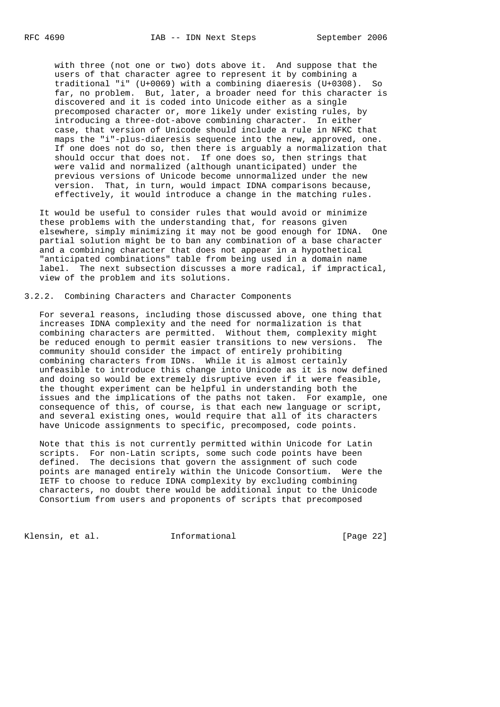with three (not one or two) dots above it. And suppose that the users of that character agree to represent it by combining a traditional "i" (U+0069) with a combining diaeresis (U+0308). So far, no problem. But, later, a broader need for this character is discovered and it is coded into Unicode either as a single precomposed character or, more likely under existing rules, by introducing a three-dot-above combining character. In either case, that version of Unicode should include a rule in NFKC that maps the "i"-plus-diaeresis sequence into the new, approved, one. If one does not do so, then there is arguably a normalization that should occur that does not. If one does so, then strings that were valid and normalized (although unanticipated) under the previous versions of Unicode become unnormalized under the new version. That, in turn, would impact IDNA comparisons because, effectively, it would introduce a change in the matching rules.

 It would be useful to consider rules that would avoid or minimize these problems with the understanding that, for reasons given elsewhere, simply minimizing it may not be good enough for IDNA. One partial solution might be to ban any combination of a base character and a combining character that does not appear in a hypothetical "anticipated combinations" table from being used in a domain name label. The next subsection discusses a more radical, if impractical, view of the problem and its solutions.

3.2.2. Combining Characters and Character Components

 For several reasons, including those discussed above, one thing that increases IDNA complexity and the need for normalization is that combining characters are permitted. Without them, complexity might be reduced enough to permit easier transitions to new versions. The community should consider the impact of entirely prohibiting combining characters from IDNs. While it is almost certainly unfeasible to introduce this change into Unicode as it is now defined and doing so would be extremely disruptive even if it were feasible, the thought experiment can be helpful in understanding both the issues and the implications of the paths not taken. For example, one consequence of this, of course, is that each new language or script, and several existing ones, would require that all of its characters have Unicode assignments to specific, precomposed, code points.

 Note that this is not currently permitted within Unicode for Latin scripts. For non-Latin scripts, some such code points have been defined. The decisions that govern the assignment of such code points are managed entirely within the Unicode Consortium. Were the IETF to choose to reduce IDNA complexity by excluding combining characters, no doubt there would be additional input to the Unicode Consortium from users and proponents of scripts that precomposed

Klensin, et al. 1nformational [Page 22]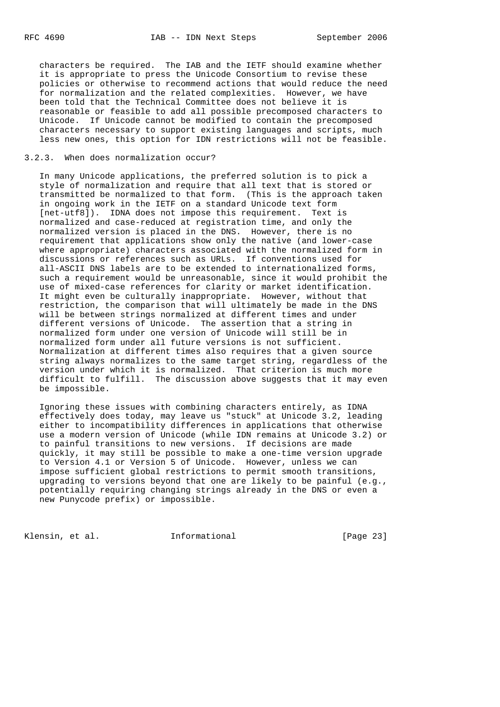characters be required. The IAB and the IETF should examine whether it is appropriate to press the Unicode Consortium to revise these policies or otherwise to recommend actions that would reduce the need for normalization and the related complexities. However, we have been told that the Technical Committee does not believe it is reasonable or feasible to add all possible precomposed characters to Unicode. If Unicode cannot be modified to contain the precomposed characters necessary to support existing languages and scripts, much less new ones, this option for IDN restrictions will not be feasible.

#### 3.2.3. When does normalization occur?

 In many Unicode applications, the preferred solution is to pick a style of normalization and require that all text that is stored or transmitted be normalized to that form. (This is the approach taken in ongoing work in the IETF on a standard Unicode text form [net-utf8]). IDNA does not impose this requirement. Text is normalized and case-reduced at registration time, and only the normalized version is placed in the DNS. However, there is no requirement that applications show only the native (and lower-case where appropriate) characters associated with the normalized form in discussions or references such as URLs. If conventions used for all-ASCII DNS labels are to be extended to internationalized forms, such a requirement would be unreasonable, since it would prohibit the use of mixed-case references for clarity or market identification. It might even be culturally inappropriate. However, without that restriction, the comparison that will ultimately be made in the DNS will be between strings normalized at different times and under different versions of Unicode. The assertion that a string in normalized form under one version of Unicode will still be in normalized form under all future versions is not sufficient. Normalization at different times also requires that a given source string always normalizes to the same target string, regardless of the version under which it is normalized. That criterion is much more difficult to fulfill. The discussion above suggests that it may even be impossible.

 Ignoring these issues with combining characters entirely, as IDNA effectively does today, may leave us "stuck" at Unicode 3.2, leading either to incompatibility differences in applications that otherwise use a modern version of Unicode (while IDN remains at Unicode 3.2) or to painful transitions to new versions. If decisions are made quickly, it may still be possible to make a one-time version upgrade to Version 4.1 or Version 5 of Unicode. However, unless we can impose sufficient global restrictions to permit smooth transitions, upgrading to versions beyond that one are likely to be painful (e.g., potentially requiring changing strings already in the DNS or even a new Punycode prefix) or impossible.

Klensin, et al. 1nformational [Page 23]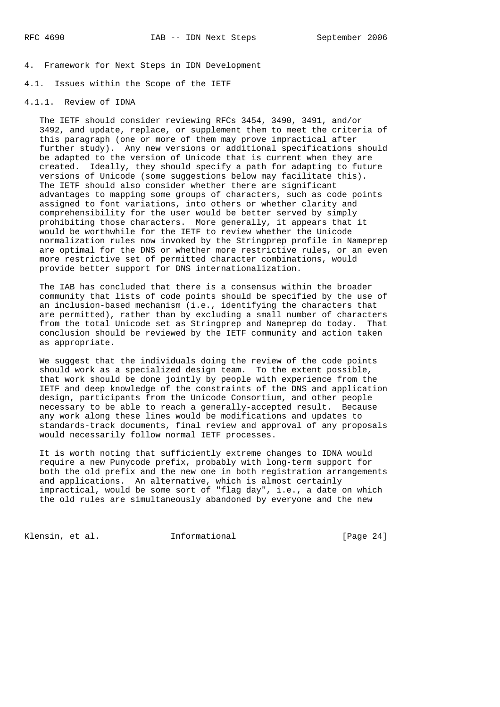4. Framework for Next Steps in IDN Development

4.1. Issues within the Scope of the IETF

## 4.1.1. Review of IDNA

 The IETF should consider reviewing RFCs 3454, 3490, 3491, and/or 3492, and update, replace, or supplement them to meet the criteria of this paragraph (one or more of them may prove impractical after further study). Any new versions or additional specifications should be adapted to the version of Unicode that is current when they are created. Ideally, they should specify a path for adapting to future versions of Unicode (some suggestions below may facilitate this). The IETF should also consider whether there are significant advantages to mapping some groups of characters, such as code points assigned to font variations, into others or whether clarity and comprehensibility for the user would be better served by simply prohibiting those characters. More generally, it appears that it would be worthwhile for the IETF to review whether the Unicode normalization rules now invoked by the Stringprep profile in Nameprep are optimal for the DNS or whether more restrictive rules, or an even more restrictive set of permitted character combinations, would provide better support for DNS internationalization.

 The IAB has concluded that there is a consensus within the broader community that lists of code points should be specified by the use of an inclusion-based mechanism (i.e., identifying the characters that are permitted), rather than by excluding a small number of characters from the total Unicode set as Stringprep and Nameprep do today. That conclusion should be reviewed by the IETF community and action taken as appropriate.

 We suggest that the individuals doing the review of the code points should work as a specialized design team. To the extent possible, that work should be done jointly by people with experience from the IETF and deep knowledge of the constraints of the DNS and application design, participants from the Unicode Consortium, and other people necessary to be able to reach a generally-accepted result. Because any work along these lines would be modifications and updates to standards-track documents, final review and approval of any proposals would necessarily follow normal IETF processes.

 It is worth noting that sufficiently extreme changes to IDNA would require a new Punycode prefix, probably with long-term support for both the old prefix and the new one in both registration arrangements and applications. An alternative, which is almost certainly impractical, would be some sort of "flag day", i.e., a date on which the old rules are simultaneously abandoned by everyone and the new

Klensin, et al. 1nformational [Page 24]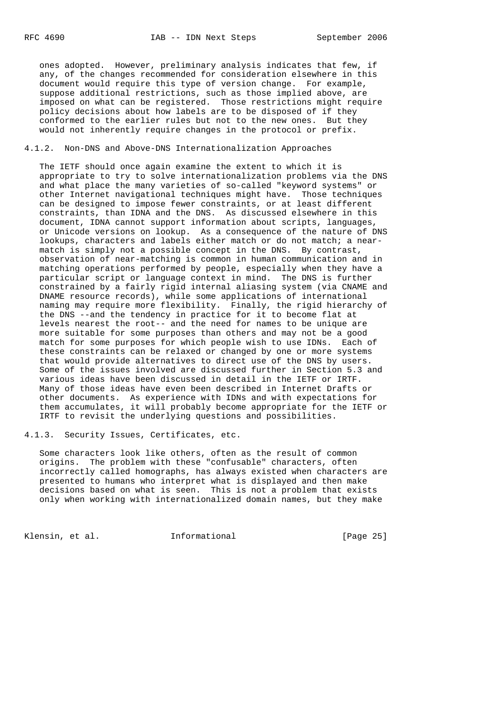ones adopted. However, preliminary analysis indicates that few, if any, of the changes recommended for consideration elsewhere in this document would require this type of version change. For example, suppose additional restrictions, such as those implied above, are imposed on what can be registered. Those restrictions might require policy decisions about how labels are to be disposed of if they conformed to the earlier rules but not to the new ones. But they would not inherently require changes in the protocol or prefix.

#### 4.1.2. Non-DNS and Above-DNS Internationalization Approaches

 The IETF should once again examine the extent to which it is appropriate to try to solve internationalization problems via the DNS and what place the many varieties of so-called "keyword systems" or other Internet navigational techniques might have. Those techniques can be designed to impose fewer constraints, or at least different constraints, than IDNA and the DNS. As discussed elsewhere in this document, IDNA cannot support information about scripts, languages, or Unicode versions on lookup. As a consequence of the nature of DNS lookups, characters and labels either match or do not match; a near match is simply not a possible concept in the DNS. By contrast, observation of near-matching is common in human communication and in matching operations performed by people, especially when they have a particular script or language context in mind. The DNS is further constrained by a fairly rigid internal aliasing system (via CNAME and DNAME resource records), while some applications of international naming may require more flexibility. Finally, the rigid hierarchy of the DNS --and the tendency in practice for it to become flat at levels nearest the root-- and the need for names to be unique are more suitable for some purposes than others and may not be a good match for some purposes for which people wish to use IDNs. Each of these constraints can be relaxed or changed by one or more systems that would provide alternatives to direct use of the DNS by users. Some of the issues involved are discussed further in Section 5.3 and various ideas have been discussed in detail in the IETF or IRTF. Many of those ideas have even been described in Internet Drafts or other documents. As experience with IDNs and with expectations for them accumulates, it will probably become appropriate for the IETF or IRTF to revisit the underlying questions and possibilities.

4.1.3. Security Issues, Certificates, etc.

 Some characters look like others, often as the result of common origins. The problem with these "confusable" characters, often incorrectly called homographs, has always existed when characters are presented to humans who interpret what is displayed and then make decisions based on what is seen. This is not a problem that exists only when working with internationalized domain names, but they make

Klensin, et al. 1nformational [Page 25]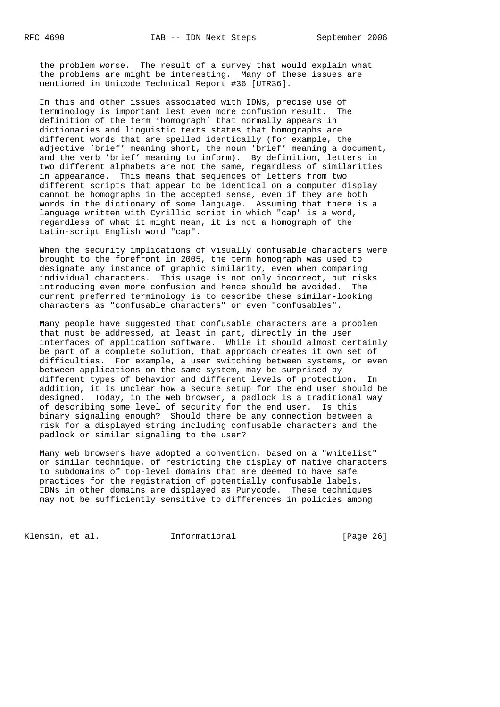the problem worse. The result of a survey that would explain what the problems are might be interesting. Many of these issues are mentioned in Unicode Technical Report #36 [UTR36].

 In this and other issues associated with IDNs, precise use of terminology is important lest even more confusion result. The definition of the term 'homograph' that normally appears in dictionaries and linguistic texts states that homographs are different words that are spelled identically (for example, the adjective 'brief' meaning short, the noun 'brief' meaning a document, and the verb 'brief' meaning to inform). By definition, letters in two different alphabets are not the same, regardless of similarities in appearance. This means that sequences of letters from two different scripts that appear to be identical on a computer display cannot be homographs in the accepted sense, even if they are both words in the dictionary of some language. Assuming that there is a language written with Cyrillic script in which "cap" is a word, regardless of what it might mean, it is not a homograph of the Latin-script English word "cap".

 When the security implications of visually confusable characters were brought to the forefront in 2005, the term homograph was used to designate any instance of graphic similarity, even when comparing individual characters. This usage is not only incorrect, but risks introducing even more confusion and hence should be avoided. The current preferred terminology is to describe these similar-looking characters as "confusable characters" or even "confusables".

 Many people have suggested that confusable characters are a problem that must be addressed, at least in part, directly in the user interfaces of application software. While it should almost certainly be part of a complete solution, that approach creates it own set of difficulties. For example, a user switching between systems, or even between applications on the same system, may be surprised by different types of behavior and different levels of protection. In addition, it is unclear how a secure setup for the end user should be designed. Today, in the web browser, a padlock is a traditional way of describing some level of security for the end user. Is this binary signaling enough? Should there be any connection between a risk for a displayed string including confusable characters and the padlock or similar signaling to the user?

 Many web browsers have adopted a convention, based on a "whitelist" or similar technique, of restricting the display of native characters to subdomains of top-level domains that are deemed to have safe practices for the registration of potentially confusable labels. IDNs in other domains are displayed as Punycode. These techniques may not be sufficiently sensitive to differences in policies among

Klensin, et al. 1nformational [Page 26]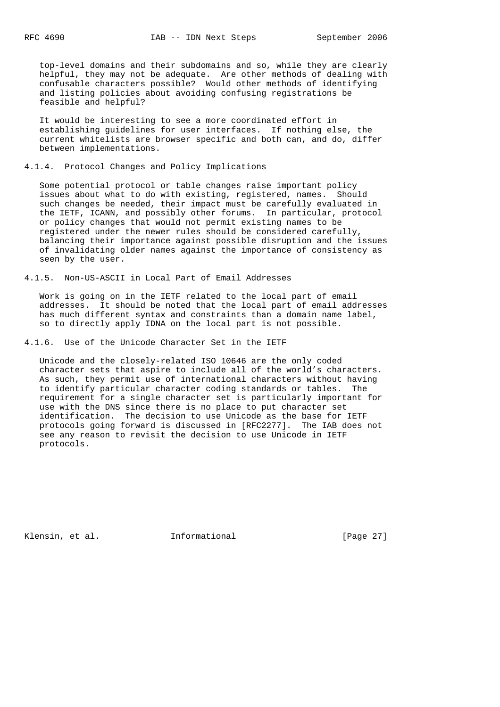top-level domains and their subdomains and so, while they are clearly helpful, they may not be adequate. Are other methods of dealing with confusable characters possible? Would other methods of identifying and listing policies about avoiding confusing registrations be feasible and helpful?

 It would be interesting to see a more coordinated effort in establishing guidelines for user interfaces. If nothing else, the current whitelists are browser specific and both can, and do, differ between implementations.

### 4.1.4. Protocol Changes and Policy Implications

 Some potential protocol or table changes raise important policy issues about what to do with existing, registered, names. Should such changes be needed, their impact must be carefully evaluated in the IETF, ICANN, and possibly other forums. In particular, protocol or policy changes that would not permit existing names to be registered under the newer rules should be considered carefully, balancing their importance against possible disruption and the issues of invalidating older names against the importance of consistency as seen by the user.

4.1.5. Non-US-ASCII in Local Part of Email Addresses

 Work is going on in the IETF related to the local part of email addresses. It should be noted that the local part of email addresses has much different syntax and constraints than a domain name label, so to directly apply IDNA on the local part is not possible.

4.1.6. Use of the Unicode Character Set in the IETF

 Unicode and the closely-related ISO 10646 are the only coded character sets that aspire to include all of the world's characters. As such, they permit use of international characters without having to identify particular character coding standards or tables. The requirement for a single character set is particularly important for use with the DNS since there is no place to put character set identification. The decision to use Unicode as the base for IETF protocols going forward is discussed in [RFC2277]. The IAB does not see any reason to revisit the decision to use Unicode in IETF protocols.

Klensin, et al. 1nformational [Page 27]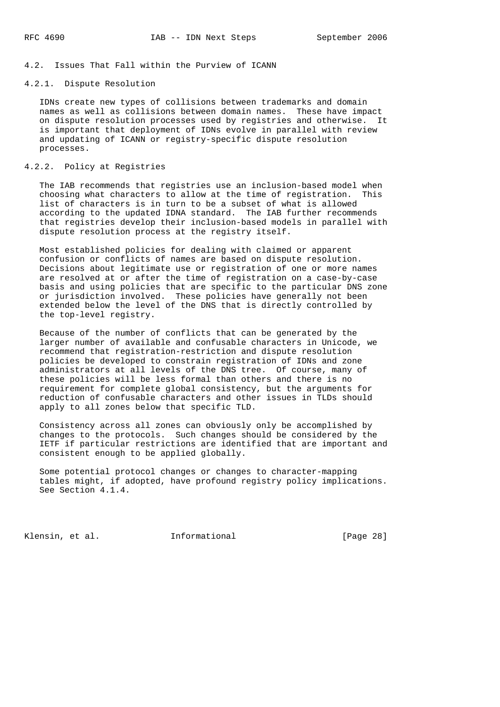### 4.2. Issues That Fall within the Purview of ICANN

## 4.2.1. Dispute Resolution

 IDNs create new types of collisions between trademarks and domain names as well as collisions between domain names. These have impact on dispute resolution processes used by registries and otherwise. It is important that deployment of IDNs evolve in parallel with review and updating of ICANN or registry-specific dispute resolution processes.

### 4.2.2. Policy at Registries

 The IAB recommends that registries use an inclusion-based model when choosing what characters to allow at the time of registration. This list of characters is in turn to be a subset of what is allowed according to the updated IDNA standard. The IAB further recommends that registries develop their inclusion-based models in parallel with dispute resolution process at the registry itself.

 Most established policies for dealing with claimed or apparent confusion or conflicts of names are based on dispute resolution. Decisions about legitimate use or registration of one or more names are resolved at or after the time of registration on a case-by-case basis and using policies that are specific to the particular DNS zone or jurisdiction involved. These policies have generally not been extended below the level of the DNS that is directly controlled by the top-level registry.

 Because of the number of conflicts that can be generated by the larger number of available and confusable characters in Unicode, we recommend that registration-restriction and dispute resolution policies be developed to constrain registration of IDNs and zone administrators at all levels of the DNS tree. Of course, many of these policies will be less formal than others and there is no requirement for complete global consistency, but the arguments for reduction of confusable characters and other issues in TLDs should apply to all zones below that specific TLD.

 Consistency across all zones can obviously only be accomplished by changes to the protocols. Such changes should be considered by the IETF if particular restrictions are identified that are important and consistent enough to be applied globally.

 Some potential protocol changes or changes to character-mapping tables might, if adopted, have profound registry policy implications. See Section 4.1.4.

Klensin, et al. 10. Informational [Page 28]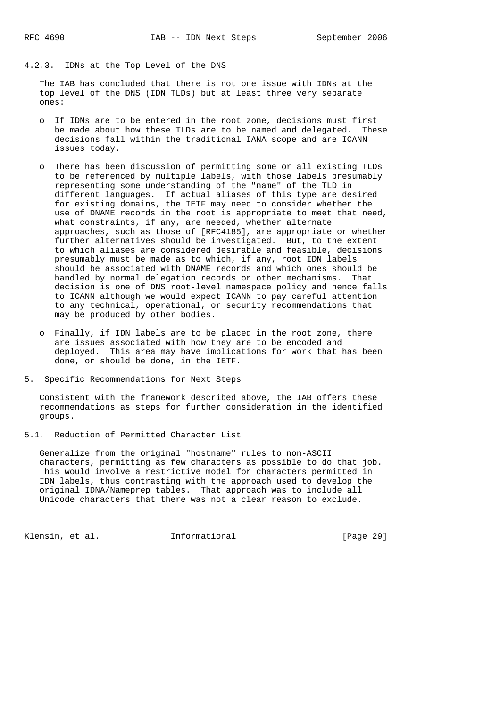### 4.2.3. IDNs at the Top Level of the DNS

 The IAB has concluded that there is not one issue with IDNs at the top level of the DNS (IDN TLDs) but at least three very separate ones:

- o If IDNs are to be entered in the root zone, decisions must first be made about how these TLDs are to be named and delegated. These decisions fall within the traditional IANA scope and are ICANN issues today.
- o There has been discussion of permitting some or all existing TLDs to be referenced by multiple labels, with those labels presumably representing some understanding of the "name" of the TLD in different languages. If actual aliases of this type are desired for existing domains, the IETF may need to consider whether the use of DNAME records in the root is appropriate to meet that need, what constraints, if any, are needed, whether alternate approaches, such as those of [RFC4185], are appropriate or whether further alternatives should be investigated. But, to the extent to which aliases are considered desirable and feasible, decisions presumably must be made as to which, if any, root IDN labels should be associated with DNAME records and which ones should be handled by normal delegation records or other mechanisms. That decision is one of DNS root-level namespace policy and hence falls to ICANN although we would expect ICANN to pay careful attention to any technical, operational, or security recommendations that may be produced by other bodies.
	- o Finally, if IDN labels are to be placed in the root zone, there are issues associated with how they are to be encoded and deployed. This area may have implications for work that has been done, or should be done, in the IETF.
- 5. Specific Recommendations for Next Steps

 Consistent with the framework described above, the IAB offers these recommendations as steps for further consideration in the identified groups.

5.1. Reduction of Permitted Character List

 Generalize from the original "hostname" rules to non-ASCII characters, permitting as few characters as possible to do that job. This would involve a restrictive model for characters permitted in IDN labels, thus contrasting with the approach used to develop the original IDNA/Nameprep tables. That approach was to include all Unicode characters that there was not a clear reason to exclude.

Klensin, et al. **Informational** [Page 29]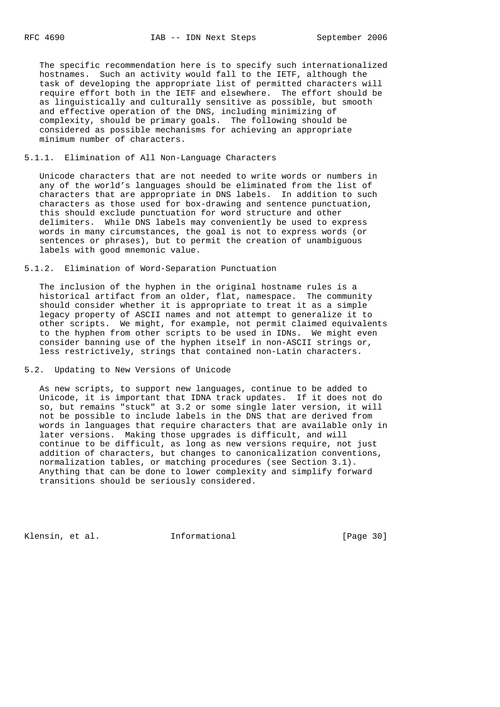The specific recommendation here is to specify such internationalized hostnames. Such an activity would fall to the IETF, although the task of developing the appropriate list of permitted characters will require effort both in the IETF and elsewhere. The effort should be as linguistically and culturally sensitive as possible, but smooth and effective operation of the DNS, including minimizing of complexity, should be primary goals. The following should be considered as possible mechanisms for achieving an appropriate minimum number of characters.

## 5.1.1. Elimination of All Non-Language Characters

 Unicode characters that are not needed to write words or numbers in any of the world's languages should be eliminated from the list of characters that are appropriate in DNS labels. In addition to such characters as those used for box-drawing and sentence punctuation, this should exclude punctuation for word structure and other delimiters. While DNS labels may conveniently be used to express words in many circumstances, the goal is not to express words (or sentences or phrases), but to permit the creation of unambiguous labels with good mnemonic value.

#### 5.1.2. Elimination of Word-Separation Punctuation

 The inclusion of the hyphen in the original hostname rules is a historical artifact from an older, flat, namespace. The community should consider whether it is appropriate to treat it as a simple legacy property of ASCII names and not attempt to generalize it to other scripts. We might, for example, not permit claimed equivalents to the hyphen from other scripts to be used in IDNs. We might even consider banning use of the hyphen itself in non-ASCII strings or, less restrictively, strings that contained non-Latin characters.

## 5.2. Updating to New Versions of Unicode

 As new scripts, to support new languages, continue to be added to Unicode, it is important that IDNA track updates. If it does not do so, but remains "stuck" at 3.2 or some single later version, it will not be possible to include labels in the DNS that are derived from words in languages that require characters that are available only in later versions. Making those upgrades is difficult, and will continue to be difficult, as long as new versions require, not just addition of characters, but changes to canonicalization conventions, normalization tables, or matching procedures (see Section 3.1). Anything that can be done to lower complexity and simplify forward transitions should be seriously considered.

Klensin, et al. 1nformational [Page 30]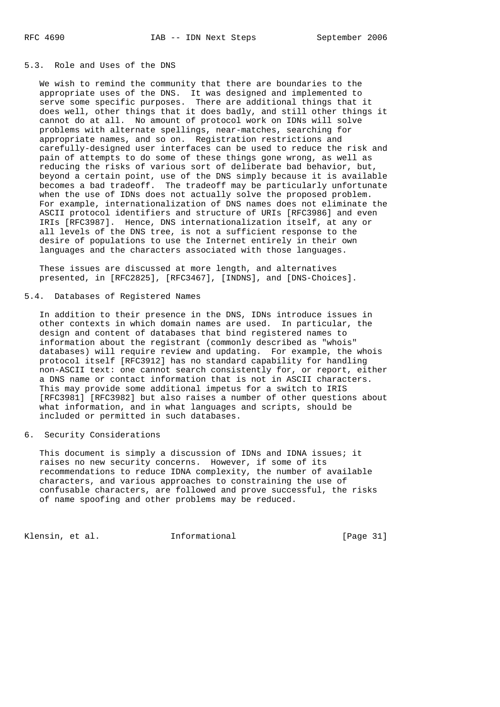#### 5.3. Role and Uses of the DNS

 We wish to remind the community that there are boundaries to the appropriate uses of the DNS. It was designed and implemented to serve some specific purposes. There are additional things that it does well, other things that it does badly, and still other things it cannot do at all. No amount of protocol work on IDNs will solve problems with alternate spellings, near-matches, searching for appropriate names, and so on. Registration restrictions and carefully-designed user interfaces can be used to reduce the risk and pain of attempts to do some of these things gone wrong, as well as reducing the risks of various sort of deliberate bad behavior, but, beyond a certain point, use of the DNS simply because it is available becomes a bad tradeoff. The tradeoff may be particularly unfortunate when the use of IDNs does not actually solve the proposed problem. For example, internationalization of DNS names does not eliminate the ASCII protocol identifiers and structure of URIs [RFC3986] and even IRIs [RFC3987]. Hence, DNS internationalization itself, at any or all levels of the DNS tree, is not a sufficient response to the desire of populations to use the Internet entirely in their own languages and the characters associated with those languages.

 These issues are discussed at more length, and alternatives presented, in [RFC2825], [RFC3467], [INDNS], and [DNS-Choices].

5.4. Databases of Registered Names

 In addition to their presence in the DNS, IDNs introduce issues in other contexts in which domain names are used. In particular, the design and content of databases that bind registered names to information about the registrant (commonly described as "whois" databases) will require review and updating. For example, the whois protocol itself [RFC3912] has no standard capability for handling non-ASCII text: one cannot search consistently for, or report, either a DNS name or contact information that is not in ASCII characters. This may provide some additional impetus for a switch to IRIS [RFC3981] [RFC3982] but also raises a number of other questions about what information, and in what languages and scripts, should be included or permitted in such databases.

## 6. Security Considerations

 This document is simply a discussion of IDNs and IDNA issues; it raises no new security concerns. However, if some of its recommendations to reduce IDNA complexity, the number of available characters, and various approaches to constraining the use of confusable characters, are followed and prove successful, the risks of name spoofing and other problems may be reduced.

Klensin, et al. 1nformational [Page 31]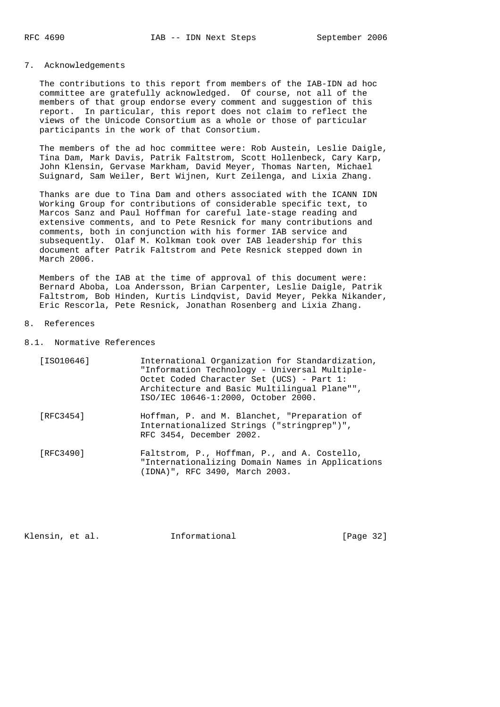## 7. Acknowledgements

 The contributions to this report from members of the IAB-IDN ad hoc committee are gratefully acknowledged. Of course, not all of the members of that group endorse every comment and suggestion of this report. In particular, this report does not claim to reflect the views of the Unicode Consortium as a whole or those of particular participants in the work of that Consortium.

 The members of the ad hoc committee were: Rob Austein, Leslie Daigle, Tina Dam, Mark Davis, Patrik Faltstrom, Scott Hollenbeck, Cary Karp, John Klensin, Gervase Markham, David Meyer, Thomas Narten, Michael Suignard, Sam Weiler, Bert Wijnen, Kurt Zeilenga, and Lixia Zhang.

 Thanks are due to Tina Dam and others associated with the ICANN IDN Working Group for contributions of considerable specific text, to Marcos Sanz and Paul Hoffman for careful late-stage reading and extensive comments, and to Pete Resnick for many contributions and comments, both in conjunction with his former IAB service and subsequently. Olaf M. Kolkman took over IAB leadership for this document after Patrik Faltstrom and Pete Resnick stepped down in March 2006.

 Members of the IAB at the time of approval of this document were: Bernard Aboba, Loa Andersson, Brian Carpenter, Leslie Daigle, Patrik Faltstrom, Bob Hinden, Kurtis Lindqvist, David Meyer, Pekka Nikander, Eric Rescorla, Pete Resnick, Jonathan Rosenberg and Lixia Zhang.

## 8. References

8.1. Normative References

| [ISO10646] | International Organization for Standardization,<br>"Information Technology - Universal Multiple-<br>Octet Coded Character Set (UCS) - Part 1:<br>Architecture and Basic Multilingual Plane"",<br>ISO/IEC 10646-1:2000, October 2000. |
|------------|--------------------------------------------------------------------------------------------------------------------------------------------------------------------------------------------------------------------------------------|
| [RFC3454]  | Hoffman, P. and M. Blanchet, "Preparation of<br>Internationalized Strings ("stringprep")",<br>RFC 3454, December 2002.                                                                                                               |
| [RFC3490]  | Faltstrom, P., Hoffman, P., and A. Costello,<br>"Internationalizing Domain Names in Applications                                                                                                                                     |

(IDNA)", RFC 3490, March 2003.

Klensin, et al. 1nformational [Page 32]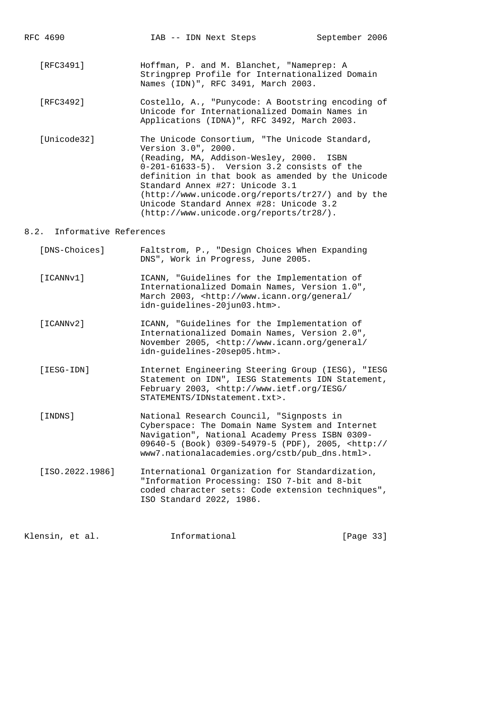- [RFC3491] Hoffman, P. and M. Blanchet, "Nameprep: A Stringprep Profile for Internationalized Domain Names (IDN)", RFC 3491, March 2003.
- [RFC3492] Costello, A., "Punycode: A Bootstring encoding of Unicode for Internationalized Domain Names in Applications (IDNA)", RFC 3492, March 2003.
- [Unicode32] The Unicode Consortium, "The Unicode Standard, Version 3.0", 2000. (Reading, MA, Addison-Wesley, 2000. ISBN 0-201-61633-5). Version 3.2 consists of the definition in that book as amended by the Unicode Standard Annex #27: Unicode 3.1 (http://www.unicode.org/reports/tr27/) and by the Unicode Standard Annex #28: Unicode 3.2 (http://www.unicode.org/reports/tr28/).

## 8.2. Informative References

| [DNS-Choices]   | Faltstrom, P., "Design Choices When Expanding<br>DNS", Work in Progress, June 2005.                                                                                                                                                                               |
|-----------------|-------------------------------------------------------------------------------------------------------------------------------------------------------------------------------------------------------------------------------------------------------------------|
| [ICANNv1]       | ICANN, "Guidelines for the Implementation of<br>Internationalized Domain Names, Version 1.0",<br>March 2003, <http: <br="" general="" www.icann.org="">idn-quidelines-20jun03.htm&gt;.</http:>                                                                    |
| [ICANNv2]       | ICANN, "Guidelines for the Implementation of<br>Internationalized Domain Names, Version 2.0",<br>November 2005, <http: <br="" general="" www.icann.org="">idn-guidelines-20sep05.htm&gt;.</http:>                                                                 |
| [IESG-IDN]      | Internet Engineering Steering Group (IESG), "IESG<br>Statement on IDN", IESG Statements IDN Statement,<br>February 2003, <http: <br="" iesg="" www.ietf.org="">STATEMENTS/IDNstatement.txt&gt;.</http:>                                                           |
| [INDNS]         | National Research Council, "Signposts in<br>Cyberspace: The Domain Name System and Internet<br>Navigation", National Academy Press ISBN 0309-<br>09640-5 (Book) 0309-54979-5 (PDF), 2005, <http: <br="">www7.nationalacademies.org/cstb/pub dns.html&gt;.</http:> |
| [ISO.2022.1986] | International Organization for Standardization,<br>"Information Processing: ISO 7-bit and 8-bit<br>coded character sets: Code extension techniques",<br>ISO Standard 2022, 1986.                                                                                  |
|                 |                                                                                                                                                                                                                                                                   |

| Klensin, et al. | Informational | [Page 33] |  |
|-----------------|---------------|-----------|--|
|                 |               |           |  |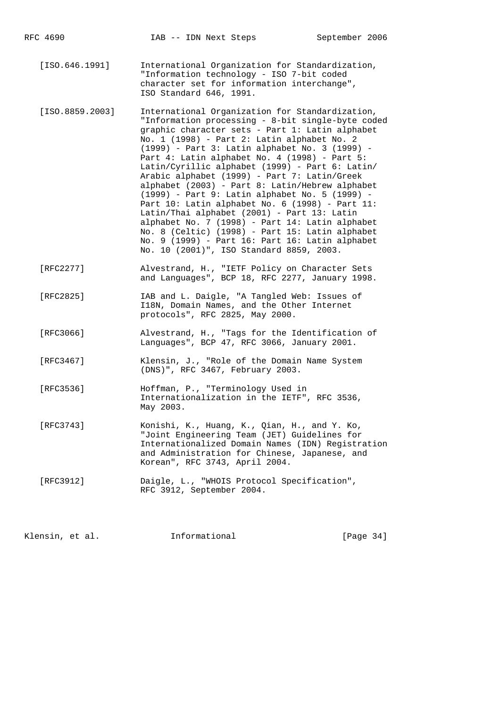[ISO.646.1991] International Organization for Standardization, "Information technology - ISO 7-bit coded character set for information interchange", ISO Standard 646, 1991.

- [ISO.8859.2003] International Organization for Standardization, "Information processing - 8-bit single-byte coded graphic character sets - Part 1: Latin alphabet No. 1 (1998) - Part 2: Latin alphabet No. 2 (1999) - Part 3: Latin alphabet No. 3 (1999) - Part 4: Latin alphabet No. 4 (1998) - Part 5: Latin/Cyrillic alphabet (1999) - Part 6: Latin/ Arabic alphabet (1999) - Part 7: Latin/Greek alphabet (2003) - Part 8: Latin/Hebrew alphabet (1999) - Part 9: Latin alphabet No. 5 (1999) - Part 10: Latin alphabet No. 6 (1998) - Part 11: Latin/Thai alphabet (2001) - Part 13: Latin alphabet No. 7 (1998) - Part 14: Latin alphabet No. 8 (Celtic) (1998) - Part 15: Latin alphabet No. 9 (1999) - Part 16: Part 16: Latin alphabet No. 10 (2001)", ISO Standard 8859, 2003.
- [RFC2277] Alvestrand, H., "IETF Policy on Character Sets and Languages", BCP 18, RFC 2277, January 1998.
- [RFC2825] IAB and L. Daigle, "A Tangled Web: Issues of I18N, Domain Names, and the Other Internet protocols", RFC 2825, May 2000.
	- [RFC3066] Alvestrand, H., "Tags for the Identification of Languages", BCP 47, RFC 3066, January 2001.
	- [RFC3467] Klensin, J., "Role of the Domain Name System (DNS)", RFC 3467, February 2003.
	- [RFC3536] Hoffman, P., "Terminology Used in Internationalization in the IETF", RFC 3536, May 2003.
	- [RFC3743] Konishi, K., Huang, K., Qian, H., and Y. Ko, "Joint Engineering Team (JET) Guidelines for Internationalized Domain Names (IDN) Registration and Administration for Chinese, Japanese, and Korean", RFC 3743, April 2004.
	- [RFC3912] Daigle, L., "WHOIS Protocol Specification", RFC 3912, September 2004.

Klensin, et al. **Informational** [Page 34]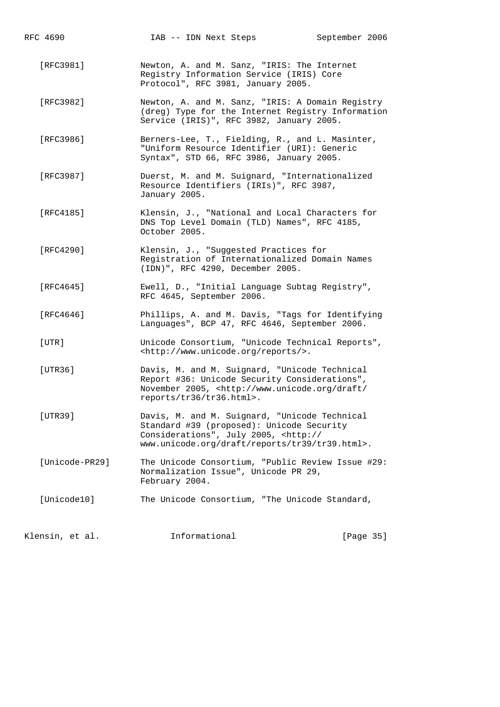[RFC3981] Newton, A. and M. Sanz, "IRIS: The Internet Registry Information Service (IRIS) Core Protocol", RFC 3981, January 2005.

- [RFC3982] Newton, A. and M. Sanz, "IRIS: A Domain Registry (dreg) Type for the Internet Registry Information Service (IRIS)", RFC 3982, January 2005.
- [RFC3986] Berners-Lee, T., Fielding, R., and L. Masinter, "Uniform Resource Identifier (URI): Generic Syntax", STD 66, RFC 3986, January 2005.
- [RFC3987] Duerst, M. and M. Suignard, "Internationalized Resource Identifiers (IRIs)", RFC 3987, January 2005.
- [RFC4185] Klensin, J., "National and Local Characters for DNS Top Level Domain (TLD) Names", RFC 4185, October 2005.
- [RFC4290] Klensin, J., "Suggested Practices for Registration of Internationalized Domain Names (IDN)", RFC 4290, December 2005.
- [RFC4645] Ewell, D., "Initial Language Subtag Registry", RFC 4645, September 2006.
- [RFC4646] Phillips, A. and M. Davis, "Tags for Identifying Languages", BCP 47, RFC 4646, September 2006.
- [UTR] Unicode Consortium, "Unicode Technical Reports", <http://www.unicode.org/reports/>.
- [UTR36] Davis, M. and M. Suignard, "Unicode Technical Report #36: Unicode Security Considerations", November 2005, <http://www.unicode.org/draft/ reports/tr36/tr36.html>.
- [UTR39] Davis, M. and M. Suignard, "Unicode Technical Standard #39 (proposed): Unicode Security Considerations", July 2005, <http:// www.unicode.org/draft/reports/tr39/tr39.html>.
- [Unicode-PR29] The Unicode Consortium, "Public Review Issue #29: Normalization Issue", Unicode PR 29, February 2004.
- [Unicode10] The Unicode Consortium, "The Unicode Standard,

| Klensin, et al. |  | Informational | [Page 35] |  |
|-----------------|--|---------------|-----------|--|
|                 |  |               |           |  |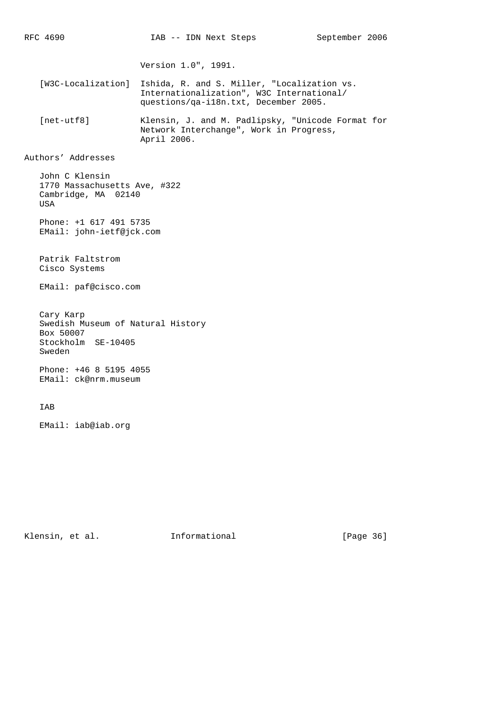Version 1.0", 1991.

 [W3C-Localization] Ishida, R. and S. Miller, "Localization vs. Internationalization", W3C International/ questions/qa-i18n.txt, December 2005.

 [net-utf8] Klensin, J. and M. Padlipsky, "Unicode Format for Network Interchange", Work in Progress, April 2006.

Authors' Addresses

 John C Klensin 1770 Massachusetts Ave, #322 Cambridge, MA 02140 USA

 Phone: +1 617 491 5735 EMail: john-ietf@jck.com

 Patrik Faltstrom Cisco Systems

EMail: paf@cisco.com

 Cary Karp Swedish Museum of Natural History Box 50007 Stockholm SE-10405 Sweden

 Phone: +46 8 5195 4055 EMail: ck@nrm.museum

### IAB

EMail: iab@iab.org

Klensin, et al. 1nformational [Page 36]